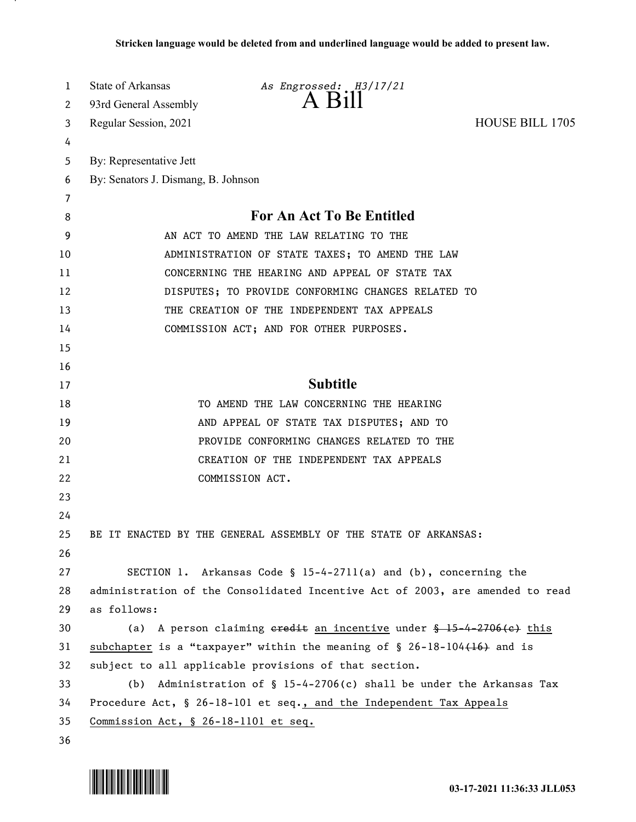| 1  | State of Arkansas<br>As Engrossed: H3/17/21                                    |  |
|----|--------------------------------------------------------------------------------|--|
| 2  | 93rd General Assembly                                                          |  |
| 3  | <b>HOUSE BILL 1705</b><br>Regular Session, 2021                                |  |
| 4  |                                                                                |  |
| 5  | By: Representative Jett                                                        |  |
| 6  | By: Senators J. Dismang, B. Johnson                                            |  |
| 7  |                                                                                |  |
| 8  | For An Act To Be Entitled                                                      |  |
| 9  | AN ACT TO AMEND THE LAW RELATING TO THE                                        |  |
| 10 | ADMINISTRATION OF STATE TAXES; TO AMEND THE LAW                                |  |
| 11 | CONCERNING THE HEARING AND APPEAL OF STATE TAX                                 |  |
| 12 | DISPUTES; TO PROVIDE CONFORMING CHANGES RELATED TO                             |  |
| 13 | THE CREATION OF THE INDEPENDENT TAX APPEALS                                    |  |
| 14 | COMMISSION ACT; AND FOR OTHER PURPOSES.                                        |  |
| 15 |                                                                                |  |
| 16 |                                                                                |  |
| 17 | <b>Subtitle</b>                                                                |  |
| 18 | TO AMEND THE LAW CONCERNING THE HEARING                                        |  |
| 19 | AND APPEAL OF STATE TAX DISPUTES; AND TO                                       |  |
| 20 | PROVIDE CONFORMING CHANGES RELATED TO THE                                      |  |
| 21 | CREATION OF THE INDEPENDENT TAX APPEALS                                        |  |
| 22 | COMMISSION ACT.                                                                |  |
| 23 |                                                                                |  |
| 24 |                                                                                |  |
| 25 | BE IT ENACTED BY THE GENERAL ASSEMBLY OF THE STATE OF ARKANSAS:                |  |
| 26 |                                                                                |  |
| 27 | SECTION 1. Arkansas Code § $15-4-2711(a)$ and (b), concerning the              |  |
| 28 | administration of the Consolidated Incentive Act of 2003, are amended to read  |  |
| 29 | as follows:                                                                    |  |
| 30 | (a) A person claiming eredit an incentive under $\frac{15-4-2706(e)}{15}$ this |  |
| 31 | subchapter is a "taxpayer" within the meaning of $\S$ 26-18-104(16) and is     |  |
| 32 | subject to all applicable provisions of that section.                          |  |
| 33 | Administration of $\S$ 15-4-2706(c) shall be under the Arkansas Tax<br>(b)     |  |
| 34 | Procedure Act, § 26-18-101 et seq., and the Independent Tax Appeals            |  |
| 35 | Commission Act, § 26-18-1101 et seq.                                           |  |
| 36 |                                                                                |  |

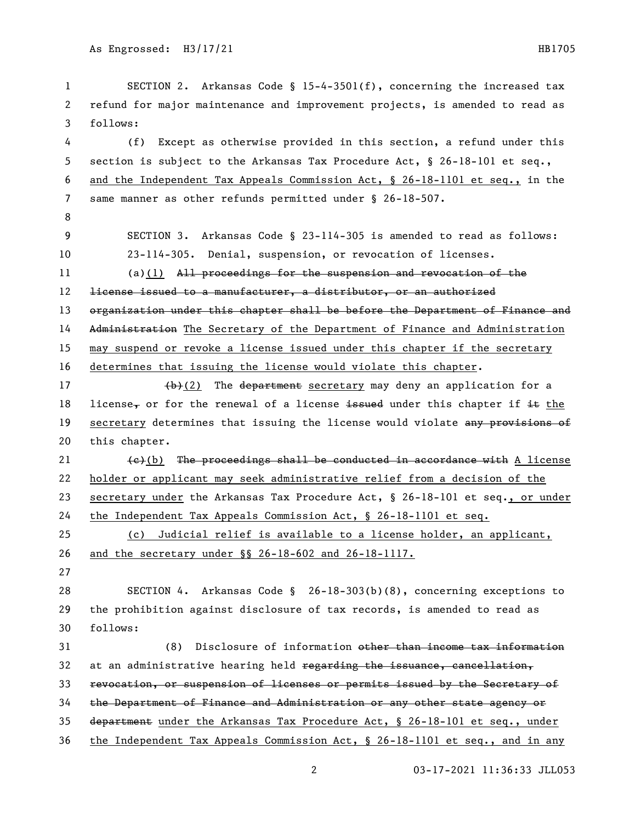SECTION 2. Arkansas Code § 15-4-3501(f), concerning the increased tax refund for major maintenance and improvement projects, is amended to read as follows: (f) Except as otherwise provided in this section, a refund under this section is subject to the Arkansas Tax Procedure Act, § 26-18-101 et seq., and the Independent Tax Appeals Commission Act, § 26-18-1101 et seq., in the same manner as other refunds permitted under § 26-18-507. SECTION 3. Arkansas Code § 23-114-305 is amended to read as follows: 23-114-305. Denial, suspension, or revocation of licenses. (a)(1) All proceedings for the suspension and revocation of the license issued to a manufacturer, a distributor, or an authorized 13 organization under this chapter shall be before the Department of Finance and 14 Administration The Secretary of the Department of Finance and Administration may suspend or revoke a license issued under this chapter if the secretary determines that issuing the license would violate this chapter. 17 (b)(2) The department secretary may deny an application for a 18 license, or for the renewal of a license issued under this chapter if it the 19 secretary determines that issuing the license would violate any provisions of this chapter.  $\left\{\epsilon\right\}$  (b) The proceedings shall be conducted in accordance with A license holder or applicant may seek administrative relief from a decision of the secretary under the Arkansas Tax Procedure Act, § 26-18-101 et seq., or under the Independent Tax Appeals Commission Act, § 26-18-1101 et seq. (c) Judicial relief is available to a license holder, an applicant, and the secretary under §§ 26-18-602 and 26-18-1117. SECTION 4. Arkansas Code § 26-18-303(b)(8), concerning exceptions to the prohibition against disclosure of tax records, is amended to read as follows: (8) Disclosure of information other than income tax information 32 at an administrative hearing held  $\frac{1}{2}$  regarding the issuance, cancellation, revocation, or suspension of licenses or permits issued by the Secretary of the Department of Finance and Administration or any other state agency or department under the Arkansas Tax Procedure Act, § 26-18-101 et seq., under the Independent Tax Appeals Commission Act, § 26-18-1101 et seq., and in any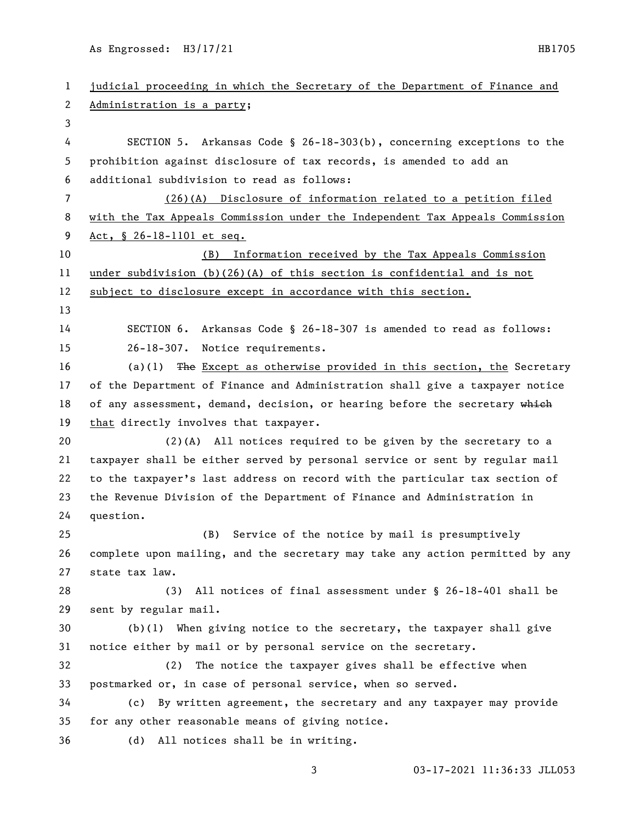| $\mathbf{1}$   | judicial proceeding in which the Secretary of the Department of Finance and   |
|----------------|-------------------------------------------------------------------------------|
| 2              | Administration is a party;                                                    |
| 3              |                                                                               |
| 4              | SECTION 5. Arkansas Code § 26-18-303(b), concerning exceptions to the         |
| 5              | prohibition against disclosure of tax records, is amended to add an           |
| 6              | additional subdivision to read as follows:                                    |
| $\overline{7}$ | (26)(A) Disclosure of information related to a petition filed                 |
| 8              | with the Tax Appeals Commission under the Independent Tax Appeals Commission  |
| 9              | Act, § 26-18-1101 et seq.                                                     |
| 10             | Information received by the Tax Appeals Commission<br>(B)                     |
| 11             | under subdivision $(b)(26)(A)$ of this section is confidential and is not     |
| 12             | subject to disclosure except in accordance with this section.                 |
| 13             |                                                                               |
| 14             | SECTION 6. Arkansas Code § 26-18-307 is amended to read as follows:           |
| 15             | 26-18-307. Notice requirements.                                               |
| 16             | (a)(1) The Except as otherwise provided in this section, the Secretary        |
| 17             | of the Department of Finance and Administration shall give a taxpayer notice  |
| 18             | of any assessment, demand, decision, or hearing before the secretary which    |
| 19             | that directly involves that taxpayer.                                         |
| 20             | $(2)(A)$ All notices required to be given by the secretary to a               |
| 21             | taxpayer shall be either served by personal service or sent by regular mail   |
| 22             | to the taxpayer's last address on record with the particular tax section of   |
| 23             | the Revenue Division of the Department of Finance and Administration in       |
| 24             | question.                                                                     |
| 25             | (B) Service of the notice by mail is presumptively                            |
| 26             | complete upon mailing, and the secretary may take any action permitted by any |
| 27             | state tax law.                                                                |
| 28             | All notices of final assessment under § 26-18-401 shall be<br>(3)             |
| 29             | sent by regular mail.                                                         |
| 30             | $(b)(1)$ When giving notice to the secretary, the taxpayer shall give         |
| 31             | notice either by mail or by personal service on the secretary.                |
| 32             | The notice the taxpayer gives shall be effective when<br>(2)                  |
| 33             | postmarked or, in case of personal service, when so served.                   |
| 34             | By written agreement, the secretary and any taxpayer may provide<br>(c)       |
| 35             | for any other reasonable means of giving notice.                              |
| 36             | All notices shall be in writing.<br>(d)                                       |
|                |                                                                               |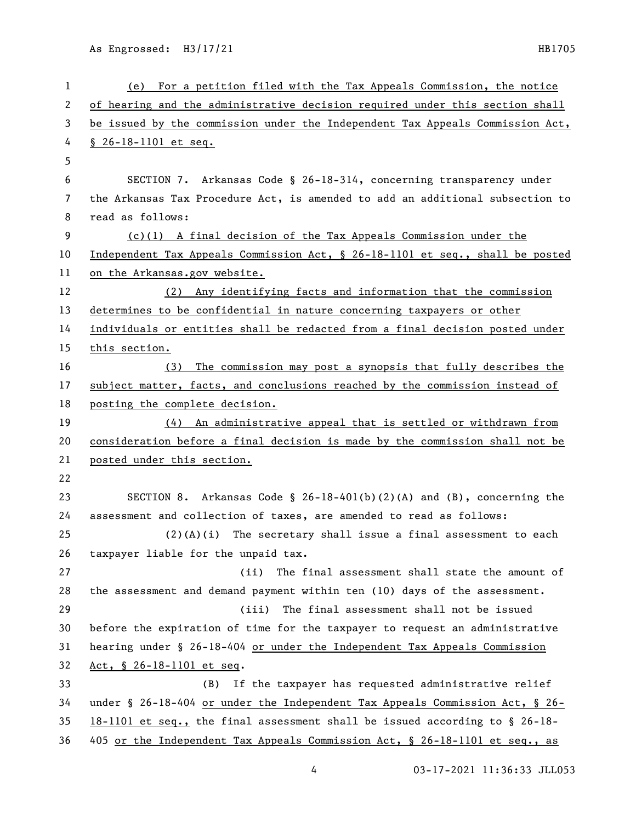| $\mathbf{1}$ | (e) For a petition filed with the Tax Appeals Commission, the notice          |
|--------------|-------------------------------------------------------------------------------|
| 2            | of hearing and the administrative decision required under this section shall  |
| 3            | be issued by the commission under the Independent Tax Appeals Commission Act, |
| 4            | $$26-18-1101$ et seq.                                                         |
| 5            |                                                                               |
| 6            | SECTION 7. Arkansas Code § 26-18-314, concerning transparency under           |
| 7            | the Arkansas Tax Procedure Act, is amended to add an additional subsection to |
| 8            | read as follows:                                                              |
| 9            | $(c)(1)$ A final decision of the Tax Appeals Commission under the             |
| 10           | Independent Tax Appeals Commission Act, § 26-18-1101 et seq., shall be posted |
| 11           | on the Arkansas.gov website.                                                  |
| 12           | Any identifying facts and information that the commission<br>(2)              |
| 13           | determines to be confidential in nature concerning taxpayers or other         |
| 14           | individuals or entities shall be redacted from a final decision posted under  |
| 15           | this section.                                                                 |
| 16           | The commission may post a synopsis that fully describes the<br>(3)            |
| 17           | subject matter, facts, and conclusions reached by the commission instead of   |
| 18           | posting the complete decision.                                                |
| 19           | (4) An administrative appeal that is settled or withdrawn from                |
| 20           | consideration before a final decision is made by the commission shall not be  |
| 21           | posted under this section.                                                    |
| 22           |                                                                               |
| 23           | SECTION 8. Arkansas Code § $26-18-401(b)(2)(A)$ and (B), concerning the       |
| 24           | assessment and collection of taxes, are amended to read as follows:           |
| 25           | $(2)(A)(i)$ The secretary shall issue a final assessment to each              |
| 26           | taxpayer liable for the unpaid tax.                                           |
| 27           | (ii)<br>The final assessment shall state the amount of                        |
| 28           | the assessment and demand payment within ten (10) days of the assessment.     |
| 29           | (iii)<br>The final assessment shall not be issued                             |
| 30           | before the expiration of time for the taxpayer to request an administrative   |
| 31           | hearing under § 26-18-404 or under the Independent Tax Appeals Commission     |
| 32           | Act, § 26-18-1101 et seq.                                                     |
| 33           | If the taxpayer has requested administrative relief<br>(B)                    |
| 34           | under § 26-18-404 or under the Independent Tax Appeals Commission Act, § 26-  |
| 35           | $18-1101$ et seq., the final assessment shall be issued according to § 26-18- |
| 36           | 405 or the Independent Tax Appeals Commission Act, § 26-18-1101 et seq., as   |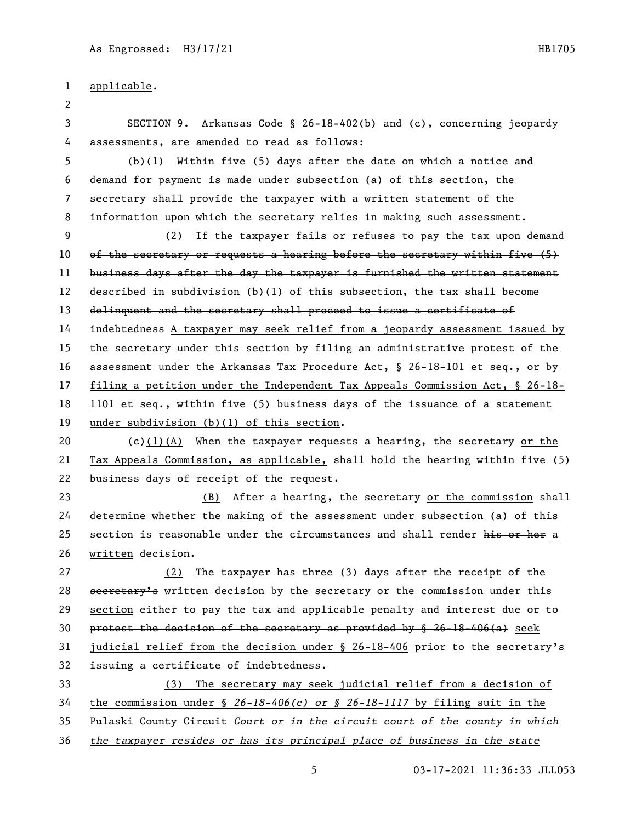## applicable.

 SECTION 9. Arkansas Code § 26-18-402(b) and (c), concerning jeopardy assessments, are amended to read as follows:

 (b)(1) Within five (5) days after the date on which a notice and demand for payment is made under subsection (a) of this section, the secretary shall provide the taxpayer with a written statement of the information upon which the secretary relies in making such assessment.

 (2) If the taxpayer fails or refuses to pay the tax upon demand of the secretary or requests a hearing before the secretary within five (5) 11 business days after the day the taxpayer is furnished the written statement described in subdivision (b)(1) of this subsection, the tax shall become

13 delinquent and the secretary shall proceed to issue a certificate of

**indebtedness** A taxpayer may seek relief from a jeopardy assessment issued by

the secretary under this section by filing an administrative protest of the

assessment under the Arkansas Tax Procedure Act, § 26-18-101 et seq., or by

filing a petition under the Independent Tax Appeals Commission Act, § 26-18-

 1101 et seq., within five (5) business days of the issuance of a statement under subdivision (b)(1) of this section.

20 (c)(1)(A) When the taxpayer requests a hearing, the secretary or the Tax Appeals Commission, as applicable, shall hold the hearing within five (5) business days of receipt of the request.

 (B) After a hearing, the secretary or the commission shall determine whether the making of the assessment under subsection (a) of this 25 section is reasonable under the circumstances and shall render his or her a written decision.

 (2) The taxpayer has three (3) days after the receipt of the 28 secretary's written decision by the secretary or the commission under this section either to pay the tax and applicable penalty and interest due or to 30 protest the decision of the secretary as provided by  $$26-18-406(a)$  seek judicial relief from the decision under § 26-18-406 prior to the secretary's issuing a certificate of indebtedness.

(3) The secretary may seek judicial relief from a decision of

the commission under § *26-18-406(c) or § 26-18-1117* by filing suit in the

Pulaski County Circuit *Court or in the circuit court of the county in which* 

*the taxpayer resides or has its principal place of business in the state*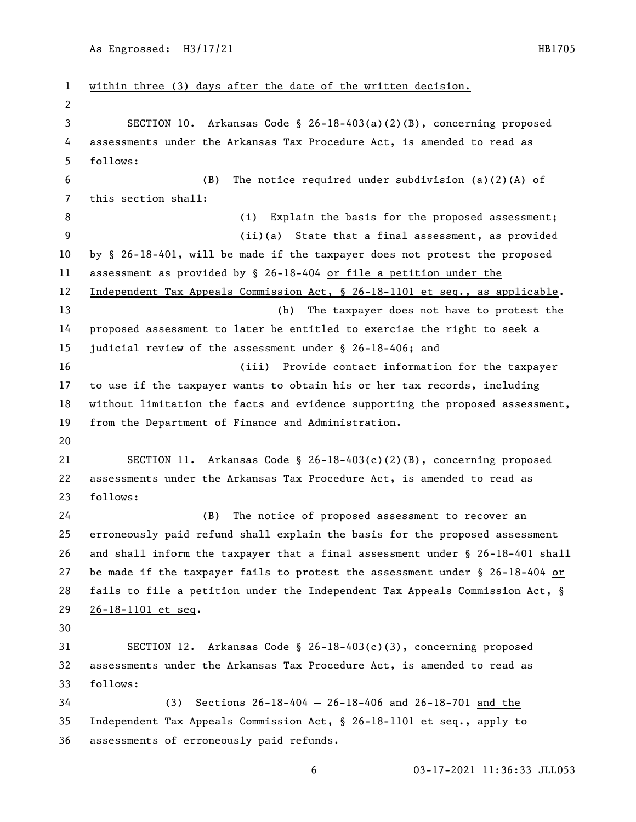```
1 within three (3) days after the date of the written decision.
 2
3 SECTION 10. Arkansas Code § 26-18-403(a)(2)(B), concerning proposed 
4 assessments under the Arkansas Tax Procedure Act, is amended to read as 
5 follows:
 6 (B) The notice required under subdivision (a)(2)(A) of 
7 this section shall:
8 (i) Explain the basis for the proposed assessment;
9 (ii)(a) State that a final assessment, as provided 
10 by § 26-18-401, will be made if the taxpayer does not protest the proposed 
11 assessment as provided by § 26-18-404 or file a petition under the 
12 Independent Tax Appeals Commission Act, § 26-18-1101 et seq., as applicable.
13 (b) The taxpayer does not have to protest the 
14 proposed assessment to later be entitled to exercise the right to seek a 
15 judicial review of the assessment under § 26-18-406; and
16 (iii) Provide contact information for the taxpayer 
17 to use if the taxpayer wants to obtain his or her tax records, including 
18 without limitation the facts and evidence supporting the proposed assessment, 
19 from the Department of Finance and Administration.
20
21 SECTION 11. Arkansas Code § 26-18-403(c)(2)(B), concerning proposed 
22 assessments under the Arkansas Tax Procedure Act, is amended to read as 
23 follows:
24 (B) The notice of proposed assessment to recover an 
25 erroneously paid refund shall explain the basis for the proposed assessment 
26 and shall inform the taxpayer that a final assessment under § 26-18-401 shall 
27 be made if the taxpayer fails to protest the assessment under § 26-18-404 or 
28 fails to file a petition under the Independent Tax Appeals Commission Act, § 
29 26-18-1101 et seq.
30
31 SECTION 12. Arkansas Code § 26-18-403(c)(3), concerning proposed 
32 assessments under the Arkansas Tax Procedure Act, is amended to read as 
33 follows:
34 (3) Sections 26-18-404 — 26-18-406 and 26-18-701 and the 
35 Independent Tax Appeals Commission Act, § 26-18-1101 et seq., apply to 
36 assessments of erroneously paid refunds.
```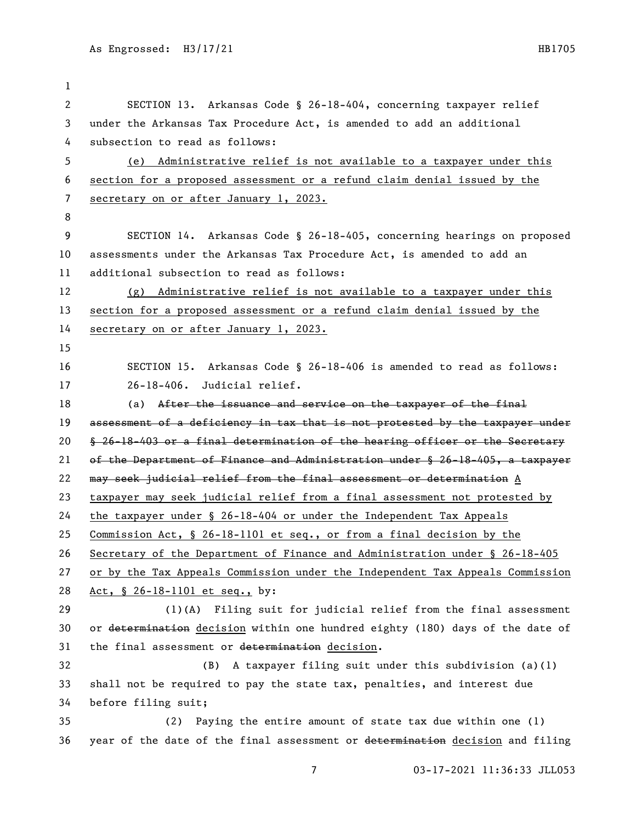SECTION 13. Arkansas Code § 26-18-404, concerning taxpayer relief under the Arkansas Tax Procedure Act, is amended to add an additional subsection to read as follows: (e) Administrative relief is not available to a taxpayer under this section for a proposed assessment or a refund claim denial issued by the secretary on or after January 1, 2023. SECTION 14. Arkansas Code § 26-18-405, concerning hearings on proposed assessments under the Arkansas Tax Procedure Act, is amended to add an additional subsection to read as follows: (g) Administrative relief is not available to a taxpayer under this section for a proposed assessment or a refund claim denial issued by the secretary on or after January 1, 2023. SECTION 15. Arkansas Code § 26-18-406 is amended to read as follows: 26-18-406. Judicial relief. 18 (a) After the issuance and service on the taxpayer of the final 19 assessment of a deficiency in tax that is not protested by the taxpayer under § 26-18-403 or a final determination of the hearing officer or the Secretary of the Department of Finance and Administration under § 26-18-405, a taxpayer may seek judicial relief from the final assessment or determination A taxpayer may seek judicial relief from a final assessment not protested by the taxpayer under § 26-18-404 or under the Independent Tax Appeals Commission Act, § 26-18-1101 et seq., or from a final decision by the Secretary of the Department of Finance and Administration under § 26-18-405 or by the Tax Appeals Commission under the Independent Tax Appeals Commission Act, § 26-18-1101 et seq., by: (1)(A) Filing suit for judicial relief from the final assessment 30 or determination decision within one hundred eighty (180) days of the date of 31 the final assessment or determination decision. (B) A taxpayer filing suit under this subdivision (a)(1) shall not be required to pay the state tax, penalties, and interest due before filing suit; (2) Paying the entire amount of state tax due within one (1) 36 year of the date of the final assessment or determination decision and filing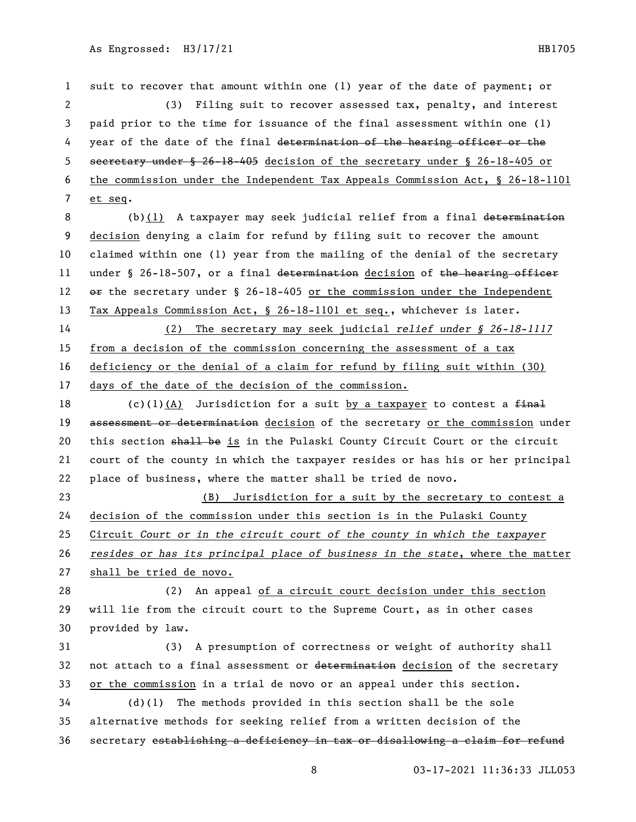suit to recover that amount within one (1) year of the date of payment; or (3) Filing suit to recover assessed tax, penalty, and interest paid prior to the time for issuance of the final assessment within one (1) 4 year of the date of the final determination of the hearing officer or the secretary under § 26-18-405 decision of the secretary under § 26-18-405 or the commission under the Independent Tax Appeals Commission Act, § 26-18-1101 et seq.

8 (b)(1) A taxpayer may seek judicial relief from a final determination decision denying a claim for refund by filing suit to recover the amount claimed within one (1) year from the mailing of the denial of the secretary 11 under § 26-18-507, or a final determination decision of the hearing officer  $\sigma$  the secretary under § 26-18-405 or the commission under the Independent Tax Appeals Commission Act, § 26-18-1101 et seq., whichever is later.

 (2) The secretary may seek judicial *relief under § 26-18-1117* from a decision of the commission concerning the assessment of a tax deficiency or the denial of a claim for refund by filing suit within (30) days of the date of the decision of the commission.

18 (c)(1)(A) Jurisdiction for a suit by a taxpayer to contest a  $f$ inal 19 assessment or determination decision of the secretary or the commission under 20 this section shall be is in the Pulaski County Circuit Court or the circuit court of the county in which the taxpayer resides or has his or her principal place of business, where the matter shall be tried de novo.

 (B) Jurisdiction for a suit by the secretary to contest a decision of the commission under this section is in the Pulaski County Circuit *Court or in the circuit court of the county in which the taxpayer resides or has its principal place of business in the state*, where the matter shall be tried de novo.

 (2) An appeal of a circuit court decision under this section will lie from the circuit court to the Supreme Court, as in other cases provided by law.

 (3) A presumption of correctness or weight of authority shall 32 not attach to a final assessment or determination decision of the secretary or the commission in a trial de novo or an appeal under this section.

 (d)(1) The methods provided in this section shall be the sole alternative methods for seeking relief from a written decision of the secretary establishing a deficiency in tax or disallowing a claim for refund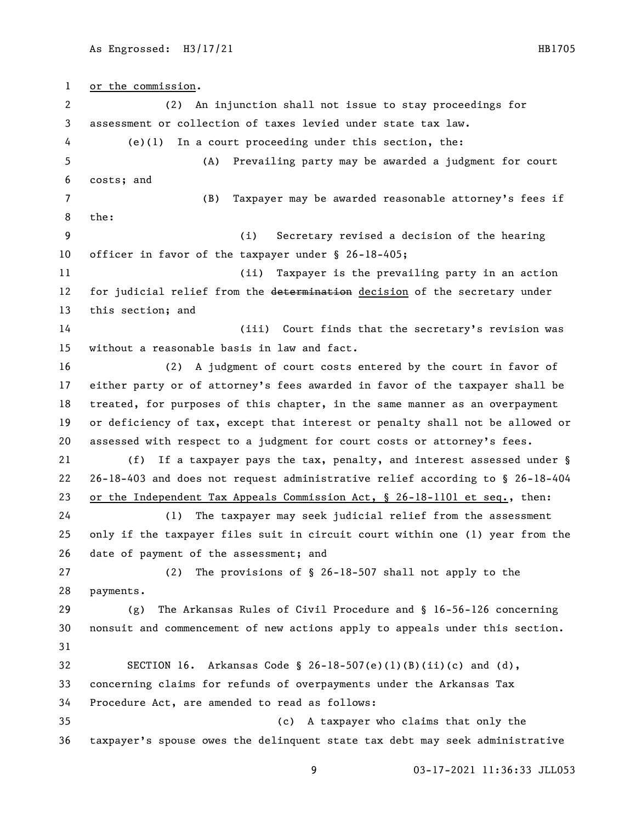or the commission. (2) An injunction shall not issue to stay proceedings for assessment or collection of taxes levied under state tax law. (e)(1) In a court proceeding under this section, the: (A) Prevailing party may be awarded a judgment for court costs; and (B) Taxpayer may be awarded reasonable attorney's fees if the: (i) Secretary revised a decision of the hearing officer in favor of the taxpayer under § 26-18-405; (ii) Taxpayer is the prevailing party in an action 12 for judicial relief from the determination decision of the secretary under this section; and (iii) Court finds that the secretary's revision was without a reasonable basis in law and fact. (2) A judgment of court costs entered by the court in favor of either party or of attorney's fees awarded in favor of the taxpayer shall be treated, for purposes of this chapter, in the same manner as an overpayment or deficiency of tax, except that interest or penalty shall not be allowed or assessed with respect to a judgment for court costs or attorney's fees. (f) If a taxpayer pays the tax, penalty, and interest assessed under § 26-18-403 and does not request administrative relief according to § 26-18-404 or the Independent Tax Appeals Commission Act, § 26-18-1101 et seq., then: (1) The taxpayer may seek judicial relief from the assessment only if the taxpayer files suit in circuit court within one (1) year from the date of payment of the assessment; and (2) The provisions of § 26-18-507 shall not apply to the payments. (g) The Arkansas Rules of Civil Procedure and § 16-56-126 concerning nonsuit and commencement of new actions apply to appeals under this section. SECTION 16. Arkansas Code § 26-18-507(e)(1)(B)(ii)(c) and (d), concerning claims for refunds of overpayments under the Arkansas Tax Procedure Act, are amended to read as follows: (c) A taxpayer who claims that only the taxpayer's spouse owes the delinquent state tax debt may seek administrative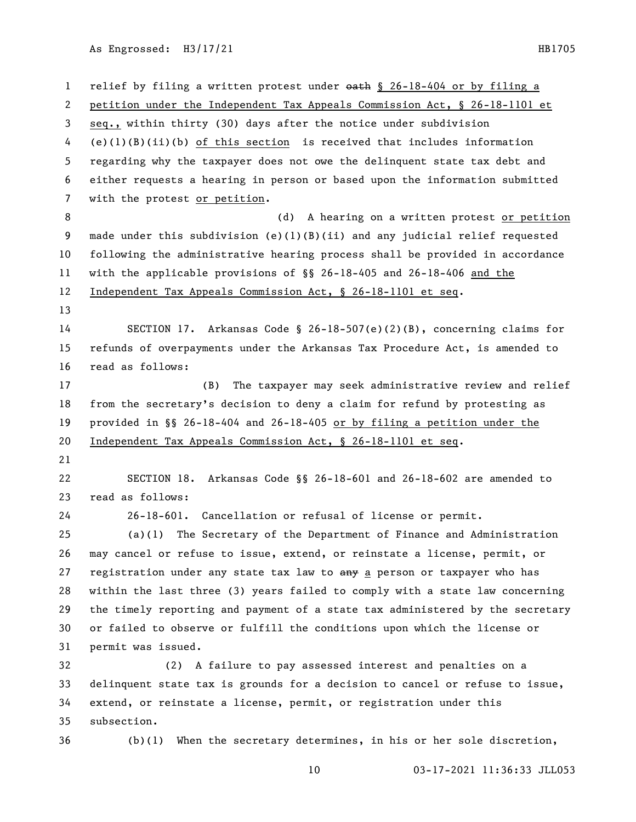1 relief by filing a written protest under  $\theta$ ath § 26-18-404 or by filing a petition under the Independent Tax Appeals Commission Act, § 26-18-1101 et seq., within thirty (30) days after the notice under subdivision (e)(1)(B)(ii)(b) of this section is received that includes information regarding why the taxpayer does not owe the delinquent state tax debt and either requests a hearing in person or based upon the information submitted with the protest or petition. 8 (d) A hearing on a written protest or petition made under this subdivision (e)(1)(B)(ii) and any judicial relief requested following the administrative hearing process shall be provided in accordance with the applicable provisions of §§ 26-18-405 and 26-18-406 and the Independent Tax Appeals Commission Act, § 26-18-1101 et seq. SECTION 17. Arkansas Code § 26-18-507(e)(2)(B), concerning claims for refunds of overpayments under the Arkansas Tax Procedure Act, is amended to read as follows: (B) The taxpayer may seek administrative review and relief from the secretary's decision to deny a claim for refund by protesting as provided in §§ 26-18-404 and 26-18-405 or by filing a petition under the Independent Tax Appeals Commission Act, § 26-18-1101 et seq. SECTION 18. Arkansas Code §§ 26-18-601 and 26-18-602 are amended to read as follows: 26-18-601. Cancellation or refusal of license or permit. (a)(1) The Secretary of the Department of Finance and Administration may cancel or refuse to issue, extend, or reinstate a license, permit, or 27 registration under any state tax law to  $a_{\text{H}}$  a person or taxpayer who has within the last three (3) years failed to comply with a state law concerning the timely reporting and payment of a state tax administered by the secretary or failed to observe or fulfill the conditions upon which the license or permit was issued. (2) A failure to pay assessed interest and penalties on a delinquent state tax is grounds for a decision to cancel or refuse to issue, extend, or reinstate a license, permit, or registration under this subsection. (b)(1) When the secretary determines, in his or her sole discretion,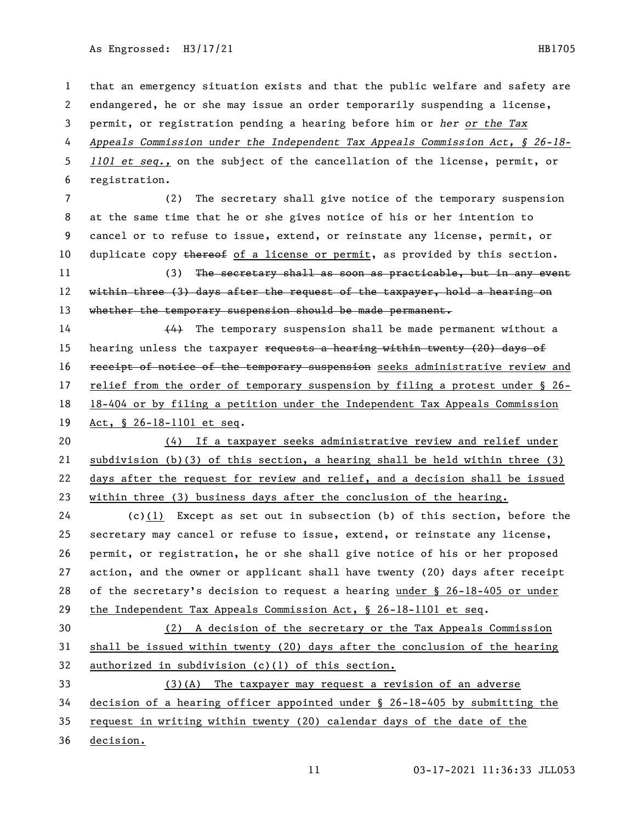that an emergency situation exists and that the public welfare and safety are endangered, he or she may issue an order temporarily suspending a license, permit, or registration pending a hearing before him or *her or the Tax Appeals Commission under the Independent Tax Appeals Commission Act, § 26-18- 1101 et seq.,* on the subject of the cancellation of the license, permit, or registration. (2) The secretary shall give notice of the temporary suspension at the same time that he or she gives notice of his or her intention to cancel or to refuse to issue, extend, or reinstate any license, permit, or 10 duplicate copy  $t$  thereof of a license or permit, as provided by this section. 11 (3) The secretary shall as soon as practicable, but in any event 12 within three (3) days after the request of the taxpayer, hold a hearing on 13 whether the temporary suspension should be made permanent. (4) The temporary suspension shall be made permanent without a 15 hearing unless the taxpayer  $\frac{15}{2}$  hearing within twenty (20) days of 16 receipt of notice of the temporary suspension seeks administrative review and relief from the order of temporary suspension by filing a protest under § 26- 18-404 or by filing a petition under the Independent Tax Appeals Commission Act, § 26-18-1101 et seq. (4) If a taxpayer seeks administrative review and relief under subdivision (b)(3) of this section, a hearing shall be held within three (3) days after the request for review and relief, and a decision shall be issued within three (3) business days after the conclusion of the hearing. (c)(1) Except as set out in subsection (b) of this section, before the secretary may cancel or refuse to issue, extend, or reinstate any license, permit, or registration, he or she shall give notice of his or her proposed action, and the owner or applicant shall have twenty (20) days after receipt of the secretary's decision to request a hearing under § 26-18-405 or under the Independent Tax Appeals Commission Act, § 26-18-1101 et seq. (2) A decision of the secretary or the Tax Appeals Commission shall be issued within twenty (20) days after the conclusion of the hearing authorized in subdivision (c)(1) of this section. (3)(A) The taxpayer may request a revision of an adverse decision of a hearing officer appointed under § 26-18-405 by submitting the request in writing within twenty (20) calendar days of the date of the decision.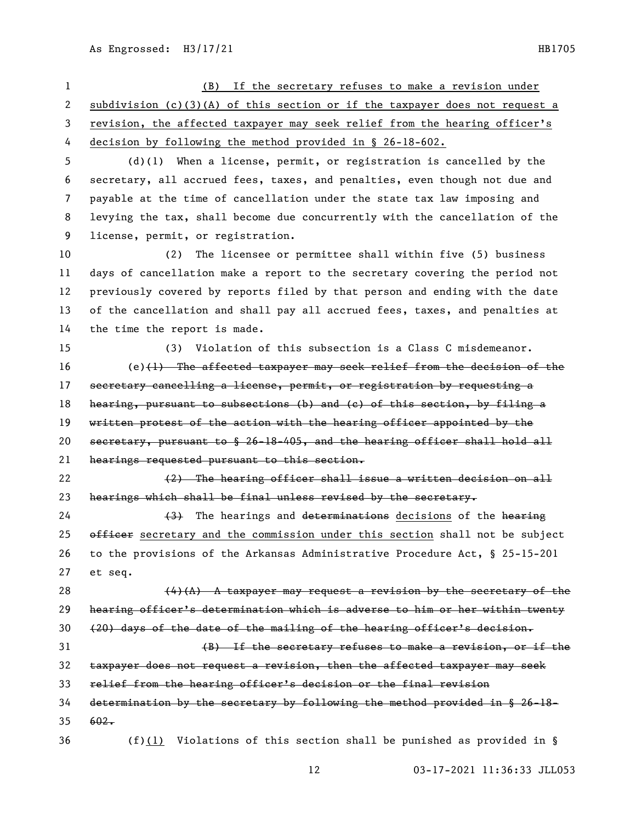(B) If the secretary refuses to make a revision under subdivision (c)(3)(A) of this section or if the taxpayer does not request a revision, the affected taxpayer may seek relief from the hearing officer's decision by following the method provided in § 26-18-602. (d)(1) When a license, permit, or registration is cancelled by the secretary, all accrued fees, taxes, and penalties, even though not due and payable at the time of cancellation under the state tax law imposing and levying the tax, shall become due concurrently with the cancellation of the license, permit, or registration. (2) The licensee or permittee shall within five (5) business days of cancellation make a report to the secretary covering the period not previously covered by reports filed by that person and ending with the date of the cancellation and shall pay all accrued fees, taxes, and penalties at the time the report is made. (3) Violation of this subsection is a Class C misdemeanor. (e)(1) The affected taxpayer may seek relief from the decision of the 17 secretary cancelling a license, permit, or registration by requesting a 18 hearing, pursuant to subsections (b) and (c) of this section, by filing a 19 written protest of the action with the hearing officer appointed by the secretary, pursuant to § 26-18-405, and the hearing officer shall hold all hearings requested pursuant to this section. (2) The hearing officer shall issue a written decision on all 23 hearings which shall be final unless revised by the secretary. 24 (3) The hearings and determinations decisions of the hearing 25 officer secretary and the commission under this section shall not be subject to the provisions of the Arkansas Administrative Procedure Act, § 25-15-201 et seq.  $(4)(A)$  A taxpayer may request a revision by the secretary of the hearing officer's determination which is adverse to him or her within twenty (20) days of the date of the mailing of the hearing officer's decision. (B) If the secretary refuses to make a revision, or if the taxpayer does not request a revision, then the affected taxpayer may seek relief from the hearing officer's decision or the final revision determination by the secretary by following the method provided in § 26-18- 602. (f)(1) Violations of this section shall be punished as provided in §

As Engrossed: H3/17/21 HB1705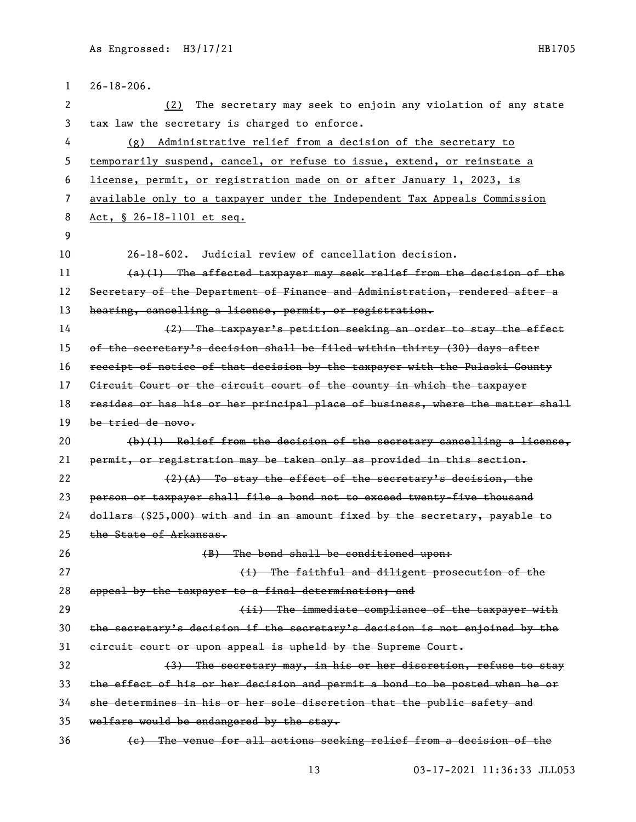| 1  | $26 - 18 - 206$ .                                                             |
|----|-------------------------------------------------------------------------------|
| 2  | The secretary may seek to enjoin any violation of any state<br>(2)            |
| 3  | tax law the secretary is charged to enforce.                                  |
| 4  | Administrative relief from a decision of the secretary to<br>(g)              |
| 5  | temporarily suspend, cancel, or refuse to issue, extend, or reinstate a       |
| 6  | license, permit, or registration made on or after January 1, 2023, is         |
| 7  | available only to a taxpayer under the Independent Tax Appeals Commission     |
| 8  | Act, § 26-18-1101 et seq.                                                     |
| 9  |                                                                               |
| 10 | 26-18-602. Judicial review of cancellation decision.                          |
| 11 | $(a)(1)$ The affected taxpayer may seek relief from the decision of the       |
| 12 | Secretary of the Department of Finance and Administration, rendered after a   |
| 13 | hearing, cancelling a license, permit, or registration.                       |
| 14 | (2) The taxpayer's petition seeking an order to stay the effect               |
| 15 | of the secretary's decision shall be filed within thirty (30) days after      |
| 16 | receipt of notice of that decision by the taxpayer with the Pulaski Gounty    |
| 17 | Gircuit Gourt or the circuit court of the county in which the taxpayer        |
| 18 | resides or has his or her principal place of business, where the matter shall |
| 19 | be tried de novo.                                                             |
| 20 | $(b)(1)$ Relief from the decision of the secretary cancelling a license,      |
| 21 | permit, or registration may be taken only as provided in this section.        |
| 22 | $(2)$ $(A)$ To stay the effect of the secretary's decision, the               |
| 23 | person or taxpayer shall file a bond not to exceed twenty-five thousand       |
| 24 | dollars (\$25,000) with and in an amount fixed by the secretary, payable to   |
| 25 | the State of Arkansas.                                                        |
| 26 | (B) The bond shall be conditioned upon:                                       |
| 27 | (i) The faithful and diligent prosecution of the                              |
| 28 | appeal by the taxpayer to a final determination; and                          |
| 29 | (ii) The immediate compliance of the taxpayer with                            |
| 30 | the secretary's decision if the secretary's decision is not enjoined by the   |
| 31 | circuit court or upon appeal is upheld by the Supreme Court.                  |
| 32 | (3) The secretary may, in his or her discretion, refuse to stay               |
| 33 | the effect of his or her decision and permit a bond to be posted when he or   |
| 34 | she determines in his or her sole discretion that the public safety and       |
| 35 | welfare would be endangered by the stay.                                      |
| 36 | (e) The venue for all actions seeking relief from a decision of the           |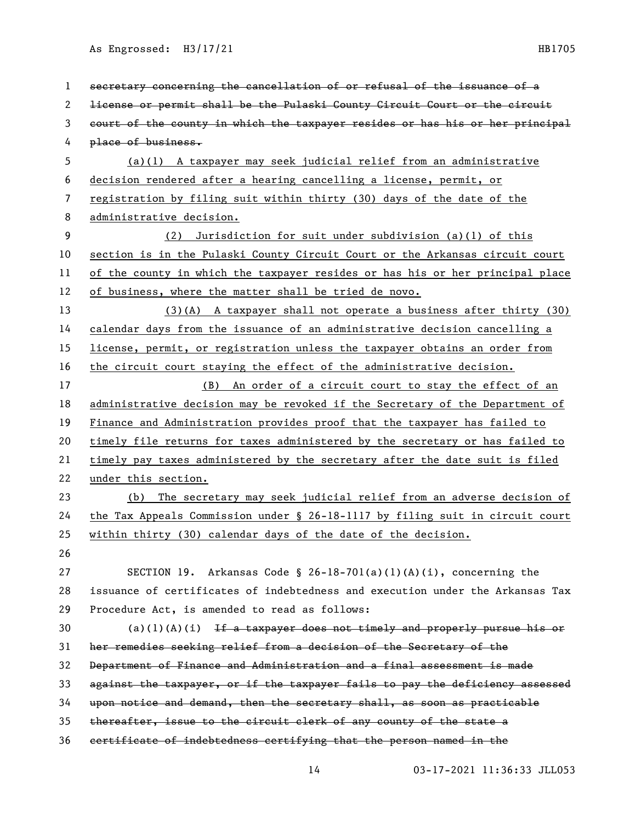| $\mathbf 1$ | secretary concerning the cancellation of or refusal of the issuance of a      |
|-------------|-------------------------------------------------------------------------------|
| 2           | license or permit shall be the Pulaski County Circuit Court or the circuit    |
| 3           | court of the county in which the taxpayer resides or has his or her principal |
| 4           | place of business.                                                            |
| 5           | $(a)(1)$ A taxpayer may seek judicial relief from an administrative           |
| 6           | decision rendered after a hearing cancelling a license, permit, or            |
| 7           | registration by filing suit within thirty (30) days of the date of the        |
| 8           | administrative decision.                                                      |
| 9           | (2) Jurisdiction for suit under subdivision (a)(1) of this                    |
| 10          | section is in the Pulaski County Circuit Court or the Arkansas circuit court  |
| 11          | of the county in which the taxpayer resides or has his or her principal place |
| 12          | of business, where the matter shall be tried de novo.                         |
| 13          | $(3)(A)$ A taxpayer shall not operate a business after thirty $(30)$          |
| 14          | calendar days from the issuance of an administrative decision cancelling a    |
| 15          | license, permit, or registration unless the taxpayer obtains an order from    |
| 16          | the circuit court staying the effect of the administrative decision.          |
| 17          | (B) An order of a circuit court to stay the effect of an                      |
| 18          | administrative decision may be revoked if the Secretary of the Department of  |
| 19          | Finance and Administration provides proof that the taxpayer has failed to     |
| 20          | timely file returns for taxes administered by the secretary or has failed to  |
| 21          | timely pay taxes administered by the secretary after the date suit is filed   |
| 22          | under this section.                                                           |
| 23          | (b) The secretary may seek judicial relief from an adverse decision of        |
| 24          | the Tax Appeals Commission under § 26-18-1117 by filing suit in circuit court |
| 25          | within thirty (30) calendar days of the date of the decision.                 |
| 26          |                                                                               |
| 27          | SECTION 19. Arkansas Code § 26-18-701(a)(1)(A)(i), concerning the             |
| 28          | issuance of certificates of indebtedness and execution under the Arkansas Tax |
| 29          | Procedure Act, is amended to read as follows:                                 |
| 30          | $(a)(1)(A)(i)$ If a taxpayer does not timely and properly pursue his or       |
| 31          | her remedies seeking relief from a decision of the Secretary of the           |
| 32          | Department of Finance and Administration and a final assessment is made       |
| 33          | against the taxpayer, or if the taxpayer fails to pay the deficiency assessed |
| 34          | upon notice and demand, then the secretary shall, as soon as practicable      |
| 35          | thereafter, issue to the circuit clerk of any county of the state a           |
| 36          | certificate of indebtedness certifying that the person named in the           |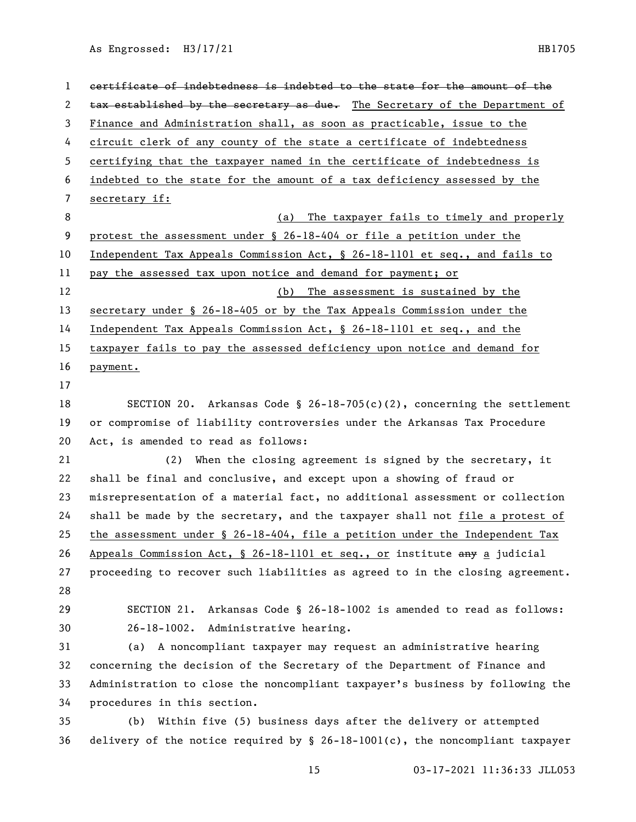certificate of indebtedness is indebted to the state for the amount of the 2 tax established by the secretary as due. The Secretary of the Department of Finance and Administration shall, as soon as practicable, issue to the circuit clerk of any county of the state a certificate of indebtedness certifying that the taxpayer named in the certificate of indebtedness is indebted to the state for the amount of a tax deficiency assessed by the secretary if: 8 (a) The taxpayer fails to timely and properly protest the assessment under § 26-18-404 or file a petition under the Independent Tax Appeals Commission Act, § 26-18-1101 et seq., and fails to pay the assessed tax upon notice and demand for payment; or (b) The assessment is sustained by the secretary under § 26-18-405 or by the Tax Appeals Commission under the Independent Tax Appeals Commission Act, § 26-18-1101 et seq., and the taxpayer fails to pay the assessed deficiency upon notice and demand for payment. SECTION 20. Arkansas Code § 26-18-705(c)(2), concerning the settlement or compromise of liability controversies under the Arkansas Tax Procedure Act, is amended to read as follows: (2) When the closing agreement is signed by the secretary, it shall be final and conclusive, and except upon a showing of fraud or misrepresentation of a material fact, no additional assessment or collection shall be made by the secretary, and the taxpayer shall not file a protest of the assessment under § 26-18-404, file a petition under the Independent Tax 26 Appeals Commission Act, § 26-18-1101 et seq., or institute any a judicial proceeding to recover such liabilities as agreed to in the closing agreement. SECTION 21. Arkansas Code § 26-18-1002 is amended to read as follows: 26-18-1002. Administrative hearing. (a) A noncompliant taxpayer may request an administrative hearing concerning the decision of the Secretary of the Department of Finance and Administration to close the noncompliant taxpayer's business by following the procedures in this section. (b) Within five (5) business days after the delivery or attempted delivery of the notice required by § 26-18-1001(c), the noncompliant taxpayer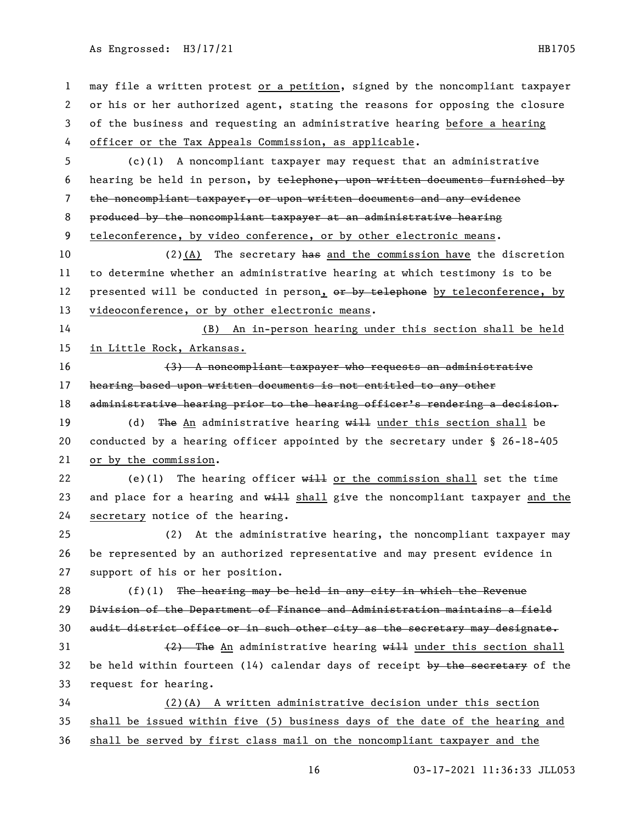may file a written protest or a petition, signed by the noncompliant taxpayer or his or her authorized agent, stating the reasons for opposing the closure of the business and requesting an administrative hearing before a hearing officer or the Tax Appeals Commission, as applicable. (c)(1) A noncompliant taxpayer may request that an administrative hearing be held in person, by telephone, upon written documents furnished by the noncompliant taxpayer, or upon written documents and any evidence produced by the noncompliant taxpayer at an administrative hearing teleconference, by video conference, or by other electronic means. (2)(A) The secretary has and the commission have the discretion to determine whether an administrative hearing at which testimony is to be 12 presented will be conducted in person, or by telephone by teleconference, by videoconference, or by other electronic means. (B) An in-person hearing under this section shall be held in Little Rock, Arkansas. (3) A noncompliant taxpayer who requests an administrative hearing based upon written documents is not entitled to any other 18 administrative hearing prior to the hearing officer's rendering a decision. 19 (d) The An administrative hearing will under this section shall be conducted by a hearing officer appointed by the secretary under § 26-18-405 or by the commission. 22 (e)(1) The hearing officer  $w = 1$  or the commission shall set the time 23 and place for a hearing and  $w=1$  shall give the noncompliant taxpayer and the secretary notice of the hearing. (2) At the administrative hearing, the noncompliant taxpayer may be represented by an authorized representative and may present evidence in support of his or her position.  $(f)(1)$  The hearing may be held in any city in which the Revenue Division of the Department of Finance and Administration maintains a field 30 audit district office or in such other city as the secretary may designate.  $(2)$  The An administrative hearing will under this section shall 32 be held within fourteen (14) calendar days of receipt by the secretary of the request for hearing. (2)(A) A written administrative decision under this section shall be issued within five (5) business days of the date of the hearing and shall be served by first class mail on the noncompliant taxpayer and the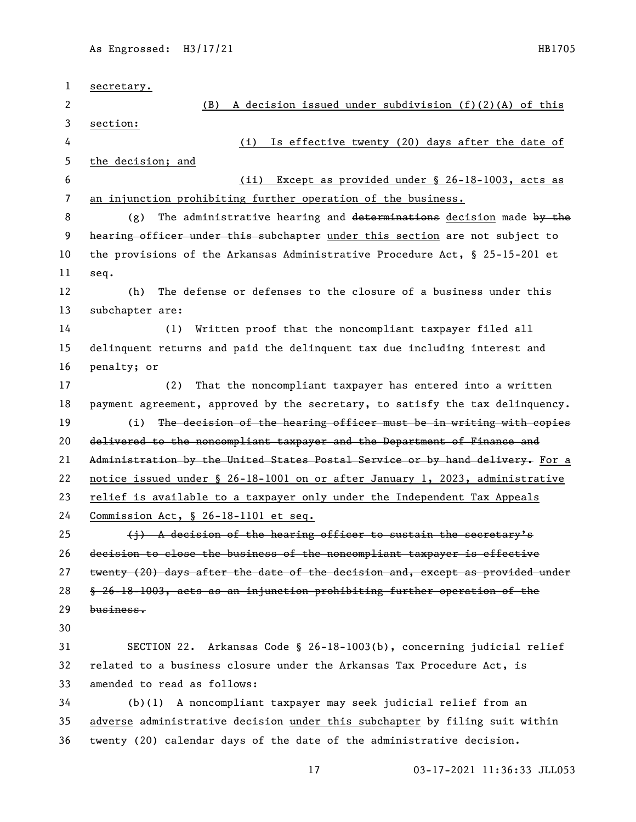| $\mathbf{1}$   |                                                                               |
|----------------|-------------------------------------------------------------------------------|
|                | secretary.                                                                    |
| 2              | A decision issued under subdivision $(f)(2)(A)$ of this<br>(B)                |
| 3              | section:                                                                      |
| 4              | Is effective twenty (20) days after the date of<br>(i)                        |
| 5              | the decision; and                                                             |
| 6              | Except as provided under § 26-18-1003, acts as<br>(ii)                        |
| $\overline{7}$ | an injunction prohibiting further operation of the business.                  |
| 8              | The administrative hearing and determinations decision made by the<br>(g)     |
| 9              | hearing officer under this subchapter under this section are not subject to   |
| 10             | the provisions of the Arkansas Administrative Procedure Act, § 25-15-201 et   |
| 11             | seq.                                                                          |
| 12             | The defense or defenses to the closure of a business under this<br>(h)        |
| 13             | subchapter are:                                                               |
| 14             | Written proof that the noncompliant taxpayer filed all<br>(1)                 |
| 15             | delinquent returns and paid the delinquent tax due including interest and     |
| 16             | penalty; or                                                                   |
| 17             | That the noncompliant taxpayer has entered into a written<br>(2)              |
| 18             | payment agreement, approved by the secretary, to satisfy the tax delinquency. |
| 19             | (i)<br>The decision of the hearing officer must be in writing with copies     |
| 20             | delivered to the noncompliant taxpayer and the Department of Finance and      |
| 21             | Administration by the United States Postal Service or by hand delivery. For a |
| 22             | notice issued under § 26-18-1001 on or after January 1, 2023, administrative  |
| 23             | relief is available to a taxpayer only under the Independent Tax Appeals      |
| 24             | <u>Commission Act, § 26-18-1101 et seq.</u>                                   |
| 25             | (i) A decision of the hearing officer to sustain the secretary's              |
| 26             | decision to close the business of the noncompliant taxpayer is effective      |
| 27             | twenty (20) days after the date of the decision and, except as provided under |
| 28             | § 26-18-1003, acts as an injunction prohibiting further operation of the      |
| 29             | business.                                                                     |
| 30             |                                                                               |
| 31             | SECTION 22. Arkansas Code § 26-18-1003(b), concerning judicial relief         |
| 32             | related to a business closure under the Arkansas Tax Procedure Act, is        |
| 33             | amended to read as follows:                                                   |
| 34             | A noncompliant taxpayer may seek judicial relief from an<br>(b)(1)            |
| 35             | adverse administrative decision under this subchapter by filing suit within   |
| 36             | twenty (20) calendar days of the date of the administrative decision.         |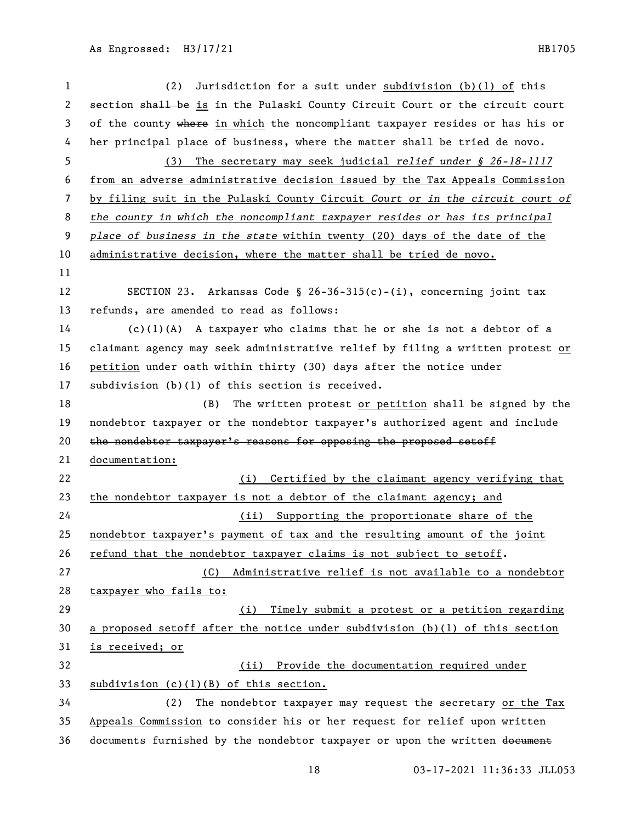| 1              | Jurisdiction for a suit under subdivision (b)(l) of this<br>(2)               |
|----------------|-------------------------------------------------------------------------------|
| $\mathbf{2}$   | section shall be is in the Pulaski County Circuit Court or the circuit court  |
| 3              | of the county where in which the noncompliant taxpayer resides or has his or  |
| 4              | her principal place of business, where the matter shall be tried de novo.     |
| 5              | The secretary may seek judicial relief under $\S$ 26-18-1117<br>(3)           |
| 6              | from an adverse administrative decision issued by the Tax Appeals Commission  |
| $\overline{7}$ | by filing suit in the Pulaski County Circuit Court or in the circuit court of |
| 8              | the county in which the noncompliant taxpayer resides or has its principal    |
| 9              | place of business in the state within twenty (20) days of the date of the     |
| 10             | administrative decision, where the matter shall be tried de novo.             |
| 11             |                                                                               |
| 12             | SECTION 23. Arkansas Code § 26-36-315(c)-(i), concerning joint tax            |
| 13             | refunds, are amended to read as follows:                                      |
| 14             | $(c)(1)(A)$ A taxpayer who claims that he or she is not a debtor of a         |
| 15             | claimant agency may seek administrative relief by filing a written protest or |
| 16             | petition under oath within thirty (30) days after the notice under            |
| 17             | subdivision (b)(1) of this section is received.                               |
| 18             | The written protest or petition shall be signed by the<br>(B)                 |
| 19             | nondebtor taxpayer or the nondebtor taxpayer's authorized agent and include   |
| 20             | the nondebtor taxpayer's reasons for opposing the proposed setoff             |
| 21             | documentation:                                                                |
| 22             | (i) Certified by the claimant agency verifying that                           |
| 23             | the nondebtor taxpayer is not a debtor of the claimant agency; and            |
| 24             | (ii) Supporting the proportionate share of the                                |
| 25             | nondebtor taxpayer's payment of tax and the resulting amount of the joint     |
| 26             | refund that the nondebtor taxpayer claims is not subject to setoff.           |
| 27             | Administrative relief is not available to a nondebtor<br>(C)                  |
| 28             | taxpayer who fails to:                                                        |
| 29             | Timely submit a protest or a petition regarding<br>(i)                        |
| 30             | a proposed setoff after the notice under subdivision (b)(1) of this section   |
| 31             | is received; or                                                               |
| 32             | (ii) Provide the documentation required under                                 |
| 33             | $subdivision (c)(1)(B)$ of this section.                                      |
| 34             | The nondebtor taxpayer may request the secretary or the Tax<br>(2)            |
| 35             | Appeals Commission to consider his or her request for relief upon written     |
| 36             | documents furnished by the nondebtor taxpayer or upon the written document    |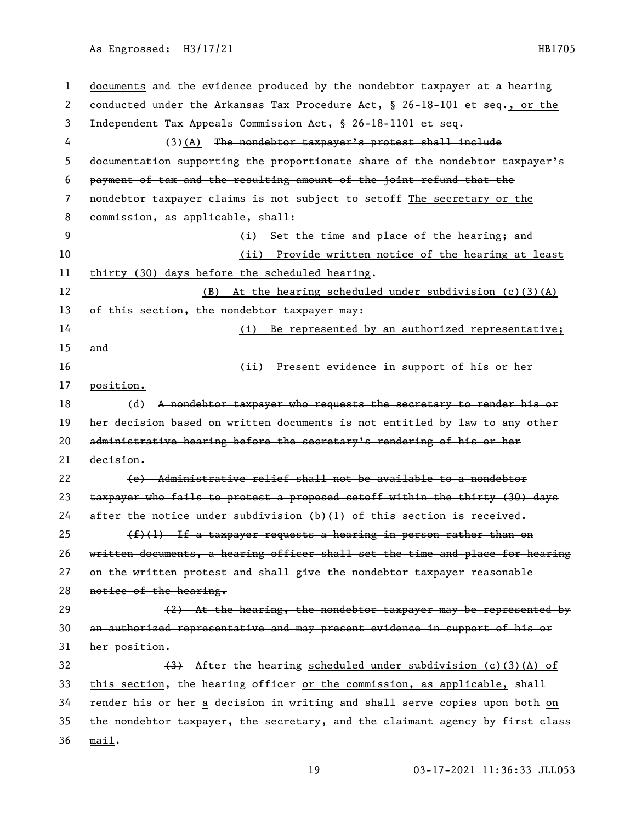| 1  | documents and the evidence produced by the nondebtor taxpayer at a hearing    |
|----|-------------------------------------------------------------------------------|
| 2  | conducted under the Arkansas Tax Procedure Act, § 26-18-101 et seq., or the   |
| 3  | Independent Tax Appeals Commission Act, § 26-18-1101 et seq.                  |
| 4  | (3)(A) The nondebtor taxpayer's protest shall include                         |
| 5  | documentation supporting the proportionate share of the nondebtor taxpayer's  |
| 6  | payment of tax and the resulting amount of the joint refund that the          |
| 7  | nondebtor taxpayer claims is not subject to setoff The secretary or the       |
| 8  | commission, as applicable, shall:                                             |
| 9  | (i) Set the time and place of the hearing; and                                |
| 10 | (ii) Provide written notice of the hearing at least                           |
| 11 | thirty (30) days before the scheduled hearing.                                |
| 12 | At the hearing scheduled under subdivision (c)(3)(A)<br>(B)                   |
| 13 | of this section, the nondebtor taxpayer may:                                  |
| 14 | (i) Be represented by an authorized representative;                           |
| 15 | and                                                                           |
| 16 | Present evidence in support of his or her<br>(ii)                             |
| 17 | position.                                                                     |
| 18 | A nondebtor taxpayer who requests the secretary to render his or<br>(d)       |
| 19 | her decision based on written documents is not entitled by law to any other   |
| 20 | administrative hearing before the secretary's rendering of his or her         |
| 21 | decision.                                                                     |
| 22 | (e) Administrative relief shall not be available to a nondebtor               |
| 23 | taxpayer who fails to protest a proposed setoff within the thirty (30) days   |
| 24 | after the notice under subdivision (b)(1) of this section is received.        |
| 25 | $(f)(1)$ If a taxpayer requests a hearing in person rather than on            |
| 26 | written documents, a hearing officer shall set the time and place for hearing |
| 27 | on the written protest and shall give the nondebtor taxpayer reasonable       |
| 28 | notice of the hearing.                                                        |
| 29 | (2) At the hearing, the nondebtor taxpayer may be represented by              |
| 30 | an authorized representative and may present evidence in support of his or    |
| 31 | her position.                                                                 |
| 32 | (3) After the hearing scheduled under subdivision (c)(3)(A) of                |
| 33 | this section, the hearing officer or the commission, as applicable, shall     |
| 34 | render his or her a decision in writing and shall serve copies upon both on   |
| 35 | the nondebtor taxpayer, the secretary, and the claimant agency by first class |
| 36 | min.                                                                          |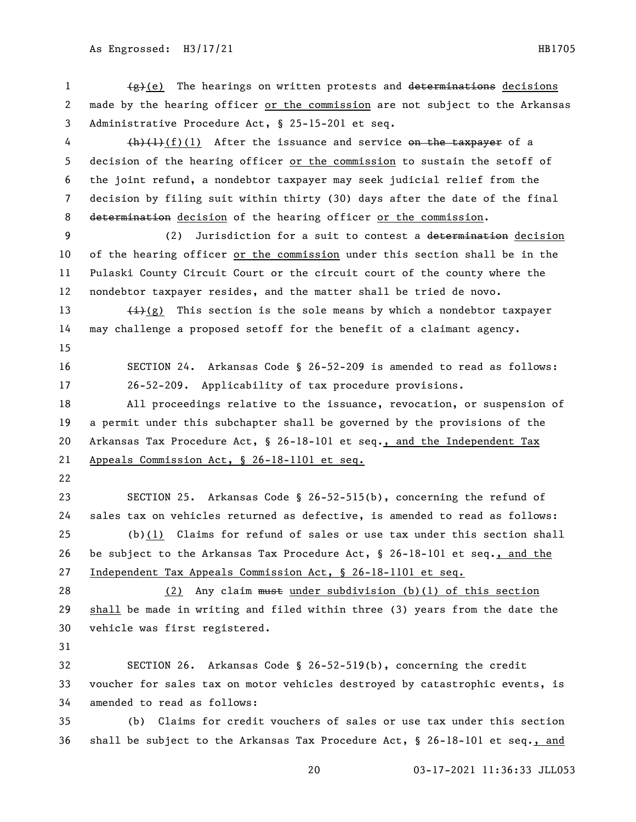1  $\left(\frac{g}{g}\right)(e)$  The hearings on written protests and determinations decisions made by the hearing officer or the commission are not subject to the Arkansas Administrative Procedure Act, § 25-15-201 et seq.

 $\left(\frac{h}{f}\right)\left(1\right)$  After the issuance and service on the taxpayer of a decision of the hearing officer or the commission to sustain the setoff of the joint refund, a nondebtor taxpayer may seek judicial relief from the decision by filing suit within thirty (30) days after the date of the final 8 determination decision of the hearing officer or the commission.

9 (2) Jurisdiction for a suit to contest a determination decision of the hearing officer or the commission under this section shall be in the Pulaski County Circuit Court or the circuit court of the county where the nondebtor taxpayer resides, and the matter shall be tried de novo.

13  $\leftarrow$   $\leftarrow$   $\leftarrow$   $\leftarrow$   $\leftarrow$   $\leftarrow$   $\leftarrow$   $\leftarrow$   $\leftarrow$   $\leftarrow$   $\leftarrow$   $\leftarrow$   $\leftarrow$   $\leftarrow$   $\leftarrow$   $\leftarrow$   $\leftarrow$   $\leftarrow$   $\leftarrow$   $\leftarrow$   $\leftarrow$   $\leftarrow$   $\leftarrow$   $\leftarrow$   $\leftarrow$   $\leftarrow$   $\leftarrow$   $\leftarrow$   $\leftarrow$   $\leftarrow$   $\leftarrow$   $\leftarrow$   $\leftarrow$   $\leftarrow$   $\leftarrow$   $\leftarrow$   $\$ may challenge a proposed setoff for the benefit of a claimant agency.

- 
- 

 SECTION 24. Arkansas Code § 26-52-209 is amended to read as follows: 26-52-209. Applicability of tax procedure provisions.

 All proceedings relative to the issuance, revocation, or suspension of a permit under this subchapter shall be governed by the provisions of the Arkansas Tax Procedure Act, § 26-18-101 et seq., and the Independent Tax Appeals Commission Act, § 26-18-1101 et seq.

 SECTION 25. Arkansas Code § 26-52-515(b), concerning the refund of sales tax on vehicles returned as defective, is amended to read as follows: (b)(1) Claims for refund of sales or use tax under this section shall be subject to the Arkansas Tax Procedure Act, § 26-18-101 et seq., and the Independent Tax Appeals Commission Act, § 26-18-1101 et seq.

28 (2) Any claim must under subdivision (b)(1) of this section shall be made in writing and filed within three (3) years from the date the vehicle was first registered.

 SECTION 26. Arkansas Code § 26-52-519(b), concerning the credit voucher for sales tax on motor vehicles destroyed by catastrophic events, is amended to read as follows:

 (b) Claims for credit vouchers of sales or use tax under this section shall be subject to the Arkansas Tax Procedure Act, § 26-18-101 et seq., and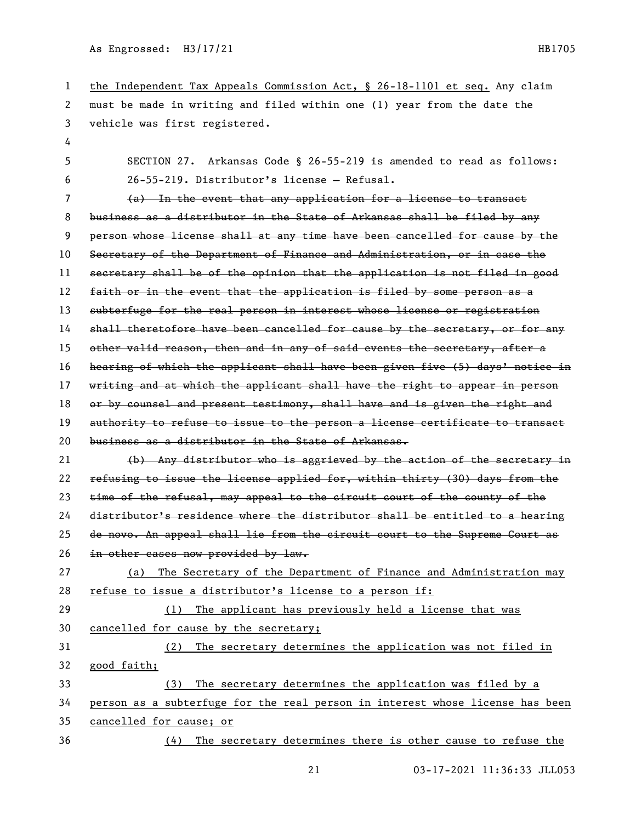| 1  | the Independent Tax Appeals Commission Act, $\S$ 26-18-1101 et seq. Any claim |
|----|-------------------------------------------------------------------------------|
| 2  | must be made in writing and filed within one (1) year from the date the       |
| 3  | vehicle was first registered.                                                 |
| 4  |                                                                               |
| 5  | SECTION 27. Arkansas Code § 26-55-219 is amended to read as follows:          |
| 6  | 26-55-219. Distributor's license - Refusal.                                   |
| 7  | (a) In the event that any application for a license to transact               |
| 8  | business as a distributor in the State of Arkansas shall be filed by any      |
| 9  | person whose license shall at any time have been cancelled for cause by the   |
| 10 | Secretary of the Department of Finance and Administration, or in case the     |
| 11 | secretary shall be of the opinion that the application is not filed in good   |
| 12 | faith or in the event that the application is filed by some person as a       |
| 13 | subterfuge for the real person in interest whose license or registration      |
| 14 | shall theretofore have been cancelled for cause by the secretary, or for any  |
| 15 | other valid reason, then and in any of said events the secretary, after a     |
| 16 | hearing of which the applicant shall have been given five (5) days' notice in |
| 17 | writing and at which the applicant shall have the right to appear in person   |
| 18 | or by counsel and present testimony, shall have and is given the right and    |
| 19 | authority to refuse to issue to the person a license certificate to transact  |
| 20 | business as a distributor in the State of Arkansas.                           |
| 21 | (b) Any distributor who is aggrieved by the action of the secretary in        |
| 22 | refusing to issue the license applied for, within thirty (30) days from the   |
| 23 | time of the refusal, may appeal to the circuit court of the county of the     |
| 24 | distributor's residence where the distributor shall be entitled to a hearing  |
| 25 | de novo. An appeal shall lie from the circuit court to the Supreme Court as   |
| 26 | in other cases now provided by law.                                           |
| 27 | The Secretary of the Department of Finance and Administration may<br>(a)      |
| 28 | refuse to issue a distributor's license to a person if:                       |
| 29 | The applicant has previously held a license that was<br>(1)                   |
| 30 | cancelled for cause by the secretary;                                         |
| 31 | The secretary determines the application was not filed in<br>(2)              |
| 32 | good faith;                                                                   |
| 33 | The secretary determines the application was filed by a<br>(3)                |
| 34 | person as a subterfuge for the real person in interest whose license has been |
| 35 | cancelled for cause; or                                                       |
| 36 | (4) The secretary determines there is other cause to refuse the               |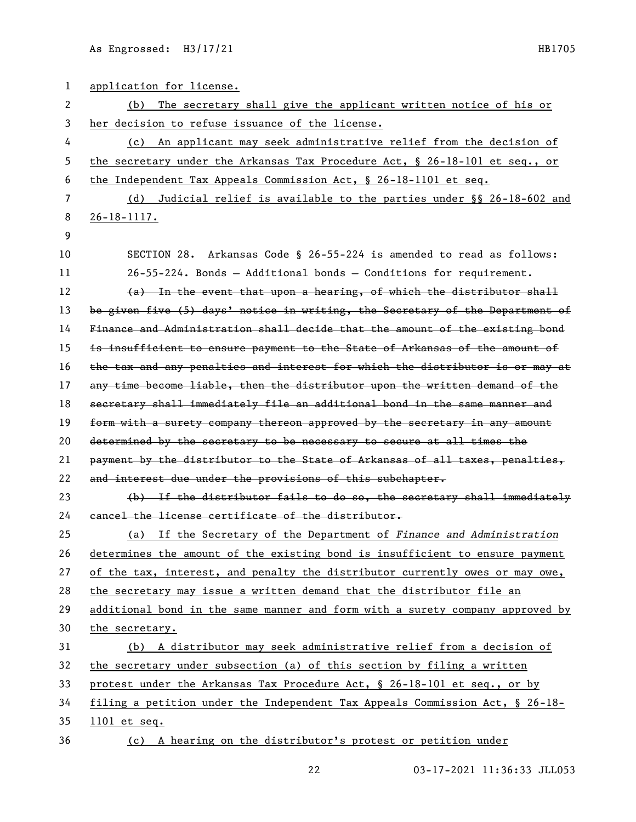| 1  | application for license.                                                      |
|----|-------------------------------------------------------------------------------|
| 2  | The secretary shall give the applicant written notice of his or<br>(b)        |
| 3  | her decision to refuse issuance of the license.                               |
| 4  | (c) An applicant may seek administrative relief from the decision of          |
| 5  | the secretary under the Arkansas Tax Procedure Act, § 26-18-101 et seq., or   |
| 6  | the Independent Tax Appeals Commission Act, § 26-18-1101 et seq.              |
| 7  | (d) Judicial relief is available to the parties under §§ 26-18-602 and        |
| 8  | $26 - 18 - 1117.$                                                             |
| 9  |                                                                               |
| 10 | SECTION 28. Arkansas Code § 26-55-224 is amended to read as follows:          |
| 11 | $26-55-224$ . Bonds - Additional bonds - Conditions for requirement.          |
| 12 | (a) In the event that upon a hearing, of which the distributor shall          |
| 13 | be given five (5) days' notice in writing, the Secretary of the Department of |
| 14 | Finance and Administration shall decide that the amount of the existing bond  |
| 15 | is insufficient to ensure payment to the State of Arkansas of the amount of   |
| 16 | the tax and any penalties and interest for which the distributor is or may at |
| 17 | any time become liable, then the distributor upon the written demand of the   |
| 18 | secretary shall immediately file an additional bond in the same manner and    |
| 19 | form with a surety company thereon approved by the secretary in any amount    |
| 20 | determined by the secretary to be necessary to secure at all times the        |
| 21 | payment by the distributor to the State of Arkansas of all taxes, penalties,  |
| 22 | and interest due under the provisions of this subchapter.                     |
| 23 | (b) If the distributor fails to do so, the secretary shall immediately        |
| 24 | cancel the license certificate of the distributor.                            |
| 25 | (a) If the Secretary of the Department of Finance and Administration          |
| 26 | determines the amount of the existing bond is insufficient to ensure payment  |
| 27 | of the tax, interest, and penalty the distributor currently owes or may owe,  |
| 28 | the secretary may issue a written demand that the distributor file an         |
| 29 | additional bond in the same manner and form with a surety company approved by |
| 30 | the secretary.                                                                |
| 31 | (b) A distributor may seek administrative relief from a decision of           |
| 32 | the secretary under subsection (a) of this section by filing a written        |
| 33 | protest under the Arkansas Tax Procedure Act, § 26-18-101 et seq., or by      |
| 34 | filing a petition under the Independent Tax Appeals Commission Act, § 26-18-  |
| 35 | $1101$ et seq.                                                                |
| 36 | (c) A hearing on the distributor's protest or petition under                  |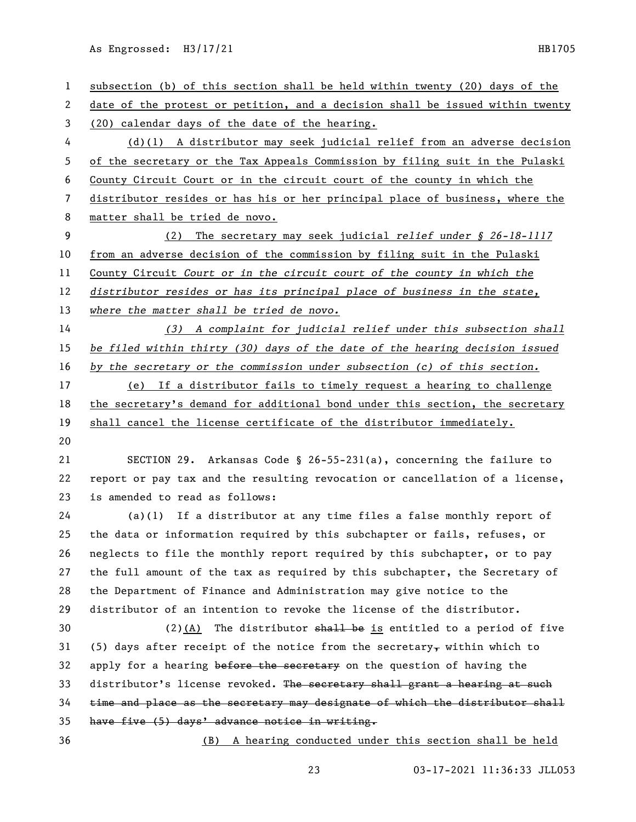| $\mathbf{1}$ | subsection (b) of this section shall be held within twenty (20) days of the   |
|--------------|-------------------------------------------------------------------------------|
| 2            | date of the protest or petition, and a decision shall be issued within twenty |
| 3            | (20) calendar days of the date of the hearing.                                |
| 4            | $(d)(1)$ A distributor may seek judicial relief from an adverse decision      |
| 5            | of the secretary or the Tax Appeals Commission by filing suit in the Pulaski  |
| 6            | County Circuit Court or in the circuit court of the county in which the       |
| 7            | distributor resides or has his or her principal place of business, where the  |
| 8            | matter shall be tried de novo.                                                |
| 9            | The secretary may seek judicial relief under § 26-18-1117<br>(2)              |
| 10           | from an adverse decision of the commission by filing suit in the Pulaski      |
| 11           | County Circuit Court or in the circuit court of the county in which the       |
| 12           | distributor resides or has its principal place of business in the state,      |
| 13           | where the matter shall be tried de novo.                                      |
| 14           | (3) A complaint for judicial relief under this subsection shall               |
| 15           | be filed within thirty (30) days of the date of the hearing decision issued   |
| 16           | by the secretary or the commission under subsection (c) of this section.      |
| 17           | (e) If a distributor fails to timely request a hearing to challenge           |
| 18           | the secretary's demand for additional bond under this section, the secretary  |
| 19           | shall cancel the license certificate of the distributor immediately.          |
| 20           |                                                                               |
| 21           | SECTION 29. Arkansas Code § 26-55-231(a), concerning the failure to           |
| 22           | report or pay tax and the resulting revocation or cancellation of a license,  |
| 23           | is amended to read as follows:                                                |
| 24           | $(a)(1)$ If a distributor at any time files a false monthly report of         |
| 25           | the data or information required by this subchapter or fails, refuses, or     |
| 26           | neglects to file the monthly report required by this subchapter, or to pay    |
| 27           | the full amount of the tax as required by this subchapter, the Secretary of   |
| 28           | the Department of Finance and Administration may give notice to the           |
| 29           | distributor of an intention to revoke the license of the distributor.         |
| 30           | $(2)$ (A) The distributor shall be is entitled to a period of five            |
| 31           | (5) days after receipt of the notice from the secretary, within which to      |
| 32           | apply for a hearing before the secretary on the question of having the        |
| 33           | distributor's license revoked. The secretary shall grant a hearing at such    |
| 34           | time and place as the secretary may designate of which the distributor shall  |
| 35           | have five (5) days' advance notice in writing.                                |
| 36           | (B) A hearing conducted under this section shall be held                      |
|              |                                                                               |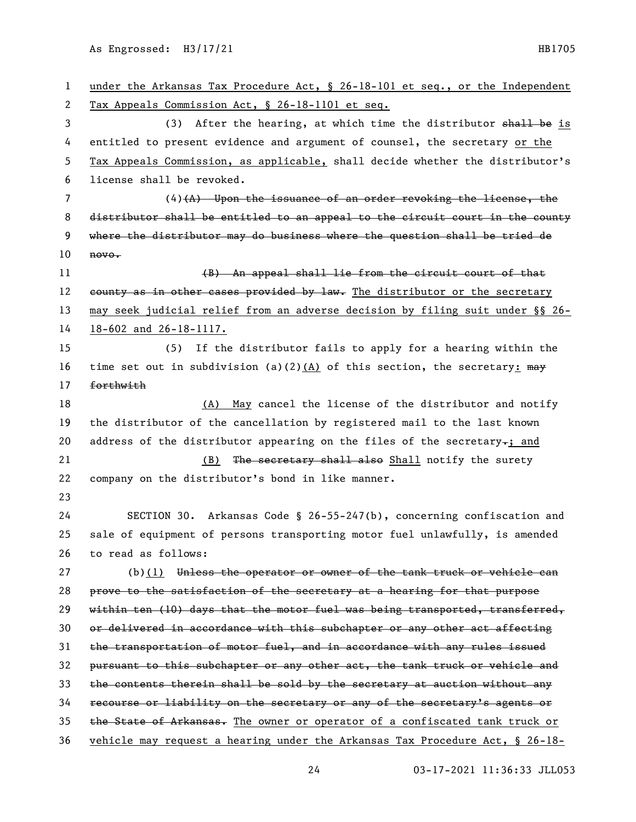under the Arkansas Tax Procedure Act, § 26-18-101 et seq., or the Independent Tax Appeals Commission Act, § 26-18-1101 et seq. 3 (3) After the hearing, at which time the distributor shall be is entitled to present evidence and argument of counsel, the secretary or the Tax Appeals Commission, as applicable, shall decide whether the distributor's license shall be revoked. (4)(A) Upon the issuance of an order revoking the license, the distributor shall be entitled to an appeal to the circuit court in the county where the distributor may do business where the question shall be tried de novo. 11 (B) An appeal shall lie from the circuit court of that 12 county as in other cases provided by law. The distributor or the secretary may seek judicial relief from an adverse decision by filing suit under §§ 26- 18-602 and 26-18-1117. (5) If the distributor fails to apply for a hearing within the 16 time set out in subdivision (a)(2)(A) of this section, the secretary:  $\frac{m}{2}$  forthwith 18 (A) May cancel the license of the distributor and notify the distributor of the cancellation by registered mail to the last known 20 address of the distributor appearing on the files of the secretary $\tau$ ; and 21 (B) The secretary shall also Shall notify the surety company on the distributor's bond in like manner. SECTION 30. Arkansas Code § 26-55-247(b), concerning confiscation and sale of equipment of persons transporting motor fuel unlawfully, is amended to read as follows: 27 (b)(1) Unless the operator or owner of the tank truck or vehicle can prove to the satisfaction of the secretary at a hearing for that purpose within ten (10) days that the motor fuel was being transported, transferred, or delivered in accordance with this subchapter or any other act affecting the transportation of motor fuel, and in accordance with any rules issued pursuant to this subchapter or any other act, the tank truck or vehicle and the contents therein shall be sold by the secretary at auction without any recourse or liability on the secretary or any of the secretary's agents or 35 the State of Arkansas. The owner or operator of a confiscated tank truck or vehicle may request a hearing under the Arkansas Tax Procedure Act, § 26-18-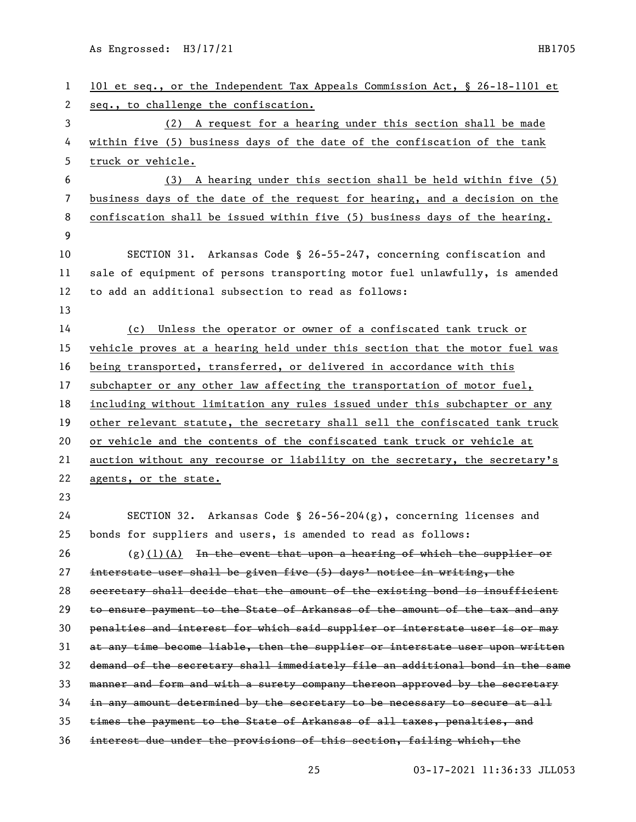| $\mathbf{1}$ | 101 et seq., or the Independent Tax Appeals Commission Act, § 26-18-1101 et   |
|--------------|-------------------------------------------------------------------------------|
| 2            | seq., to challenge the confiscation.                                          |
| 3            | (2) A request for a hearing under this section shall be made                  |
| 4            | within five (5) business days of the date of the confiscation of the tank     |
| 5            | truck or vehicle.                                                             |
| 6            | (3) A hearing under this section shall be held within five (5)                |
| 7            | business days of the date of the request for hearing, and a decision on the   |
| 8            | confiscation shall be issued within five (5) business days of the hearing.    |
| 9            |                                                                               |
| 10           | SECTION 31. Arkansas Code § 26-55-247, concerning confiscation and            |
| 11           | sale of equipment of persons transporting motor fuel unlawfully, is amended   |
| 12           | to add an additional subsection to read as follows:                           |
| 13           |                                                                               |
| 14           | (c) Unless the operator or owner of a confiscated tank truck or               |
| 15           | vehicle proves at a hearing held under this section that the motor fuel was   |
| 16           | being transported, transferred, or delivered in accordance with this          |
| 17           | subchapter or any other law affecting the transportation of motor fuel,       |
| 18           | including without limitation any rules issued under this subchapter or any    |
| 19           | other relevant statute, the secretary shall sell the confiscated tank truck   |
| 20           | or vehicle and the contents of the confiscated tank truck or vehicle at       |
| 21           | auction without any recourse or liability on the secretary, the secretary's   |
| 22           | agents, or the state.                                                         |
| 23           |                                                                               |
| 24           | SECTION 32. Arkansas Code § 26-56-204(g), concerning licenses and             |
| 25           | bonds for suppliers and users, is amended to read as follows:                 |
| 26           | $(g)(1)(A)$ In the event that upon a hearing of which the supplier or         |
| 27           | interstate user shall be given five (5) days' notice in writing, the          |
| 28           | secretary shall decide that the amount of the existing bond is insufficient   |
| 29           | to ensure payment to the State of Arkansas of the amount of the tax and any   |
| 30           | penalties and interest for which said supplier or interstate user is or may   |
| 31           | at any time become liable, then the supplier or interstate user upon written  |
| 32           | demand of the secretary shall immediately file an additional bond in the same |
| 33           | manner and form and with a surety company thereon approved by the secretary   |
| 34           | in any amount determined by the secretary to be necessary to secure at all    |
| 35           | times the payment to the State of Arkansas of all taxes, penalties, and       |
| 36           | interest due under the provisions of this section, failing which, the         |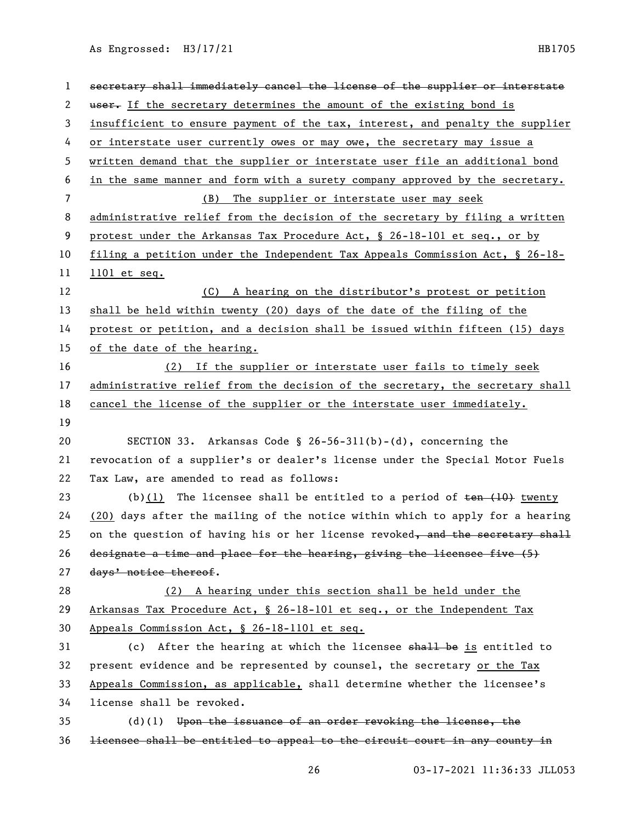| 1  | secretary shall immediately cancel the license of the supplier or interstate    |
|----|---------------------------------------------------------------------------------|
| 2  | user. If the secretary determines the amount of the existing bond is            |
| 3  | insufficient to ensure payment of the tax, interest, and penalty the supplier   |
| 4  | or interstate user currently owes or may owe, the secretary may issue a         |
| 5  | written demand that the supplier or interstate user file an additional bond     |
| 6  | in the same manner and form with a surety company approved by the secretary.    |
| 7  | (B) The supplier or interstate user may seek                                    |
| 8  | administrative relief from the decision of the secretary by filing a written    |
| 9  | protest under the Arkansas Tax Procedure Act, § 26-18-101 et seq., or by        |
| 10 | filing a petition under the Independent Tax Appeals Commission Act, $\S$ 26-18- |
| 11 | $1101$ et seq.                                                                  |
| 12 | (C) A hearing on the distributor's protest or petition                          |
| 13 | shall be held within twenty (20) days of the date of the filing of the          |
| 14 | protest or petition, and a decision shall be issued within fifteen (15) days    |
| 15 | of the date of the hearing.                                                     |
| 16 | (2) If the supplier or interstate user fails to timely seek                     |
| 17 | administrative relief from the decision of the secretary, the secretary shall   |
| 18 | cancel the license of the supplier or the interstate user immediately.          |
| 19 |                                                                                 |
| 20 | SECTION 33. Arkansas Code § 26-56-311(b)-(d), concerning the                    |
| 21 | revocation of a supplier's or dealer's license under the Special Motor Fuels    |
| 22 | Tax Law, are amended to read as follows:                                        |
| 23 | (b) $(1)$ The licensee shall be entitled to a period of $t$ en $(10)$ twenty    |
| 24 | $(20)$ days after the mailing of the notice within which to apply for a hearing |
| 25 | on the question of having his or her license revoked, and the secretary shall   |
| 26 | designate a time and place for the hearing, giving the licensee five (5)        |
| 27 | days' notice thereof.                                                           |
| 28 | (2) A hearing under this section shall be held under the                        |
| 29 | Arkansas Tax Procedure Act, § 26-18-101 et seq., or the Independent Tax         |
| 30 | Appeals Commission Act, § 26-18-1101 et seq.                                    |
| 31 | (c) After the hearing at which the licensee shall be is entitled to             |
| 32 | present evidence and be represented by counsel, the secretary or the Tax        |
| 33 | Appeals Commission, as applicable, shall determine whether the licensee's       |
| 34 | license shall be revoked.                                                       |
| 35 | $(d)$ (1) Upon the issuance of an order revoking the license, the               |
| 36 | licensee shall be entitled to appeal to the circuit court in any county in      |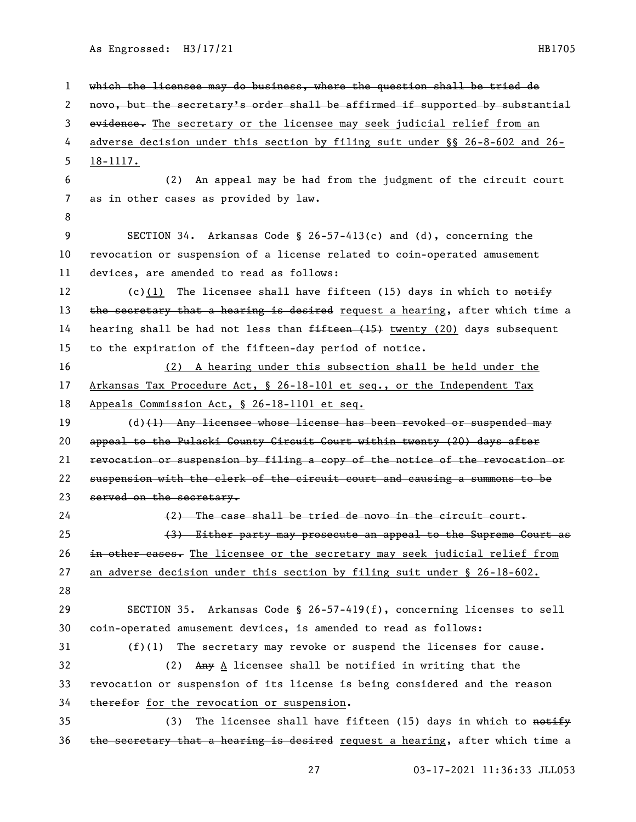which the licensee may do business, where the question shall be tried de novo, but the secretary's order shall be affirmed if supported by substantial 3 evidence. The secretary or the licensee may seek judicial relief from an adverse decision under this section by filing suit under §§ 26-8-602 and 26- 18-1117. (2) An appeal may be had from the judgment of the circuit court as in other cases as provided by law. SECTION 34. Arkansas Code § 26-57-413(c) and (d), concerning the revocation or suspension of a license related to coin-operated amusement devices, are amended to read as follows: 12 (c)(1) The licensee shall have fifteen (15) days in which to notify 13 the secretary that a hearing is desired request a hearing, after which time a 14 hearing shall be had not less than  $f$ ifteen  $(f$ 15) twenty (20) days subsequent to the expiration of the fifteen-day period of notice. (2) A hearing under this subsection shall be held under the Arkansas Tax Procedure Act, § 26-18-101 et seq., or the Independent Tax Appeals Commission Act, § 26-18-1101 et seq. 19 (d)(1) Any licensee whose license has been revoked or suspended may appeal to the Pulaski County Circuit Court within twenty (20) days after revocation or suspension by filing a copy of the notice of the revocation or suspension with the clerk of the circuit court and causing a summons to be 23 served on the secretary. (2) The case shall be tried de novo in the circuit court. (3) Either party may prosecute an appeal to the Supreme Court as 26 in other cases. The licensee or the secretary may seek judicial relief from an adverse decision under this section by filing suit under § 26-18-602. SECTION 35. Arkansas Code § 26-57-419(f), concerning licenses to sell coin-operated amusement devices, is amended to read as follows: (f)(1) The secretary may revoke or suspend the licenses for cause. (2) Any A licensee shall be notified in writing that the revocation or suspension of its license is being considered and the reason 34 therefor for the revocation or suspension. 35 (3) The licensee shall have fifteen (15) days in which to  $\frac{15}{100}$  $the$  secretary that a hearing is desired request a hearing, after which time a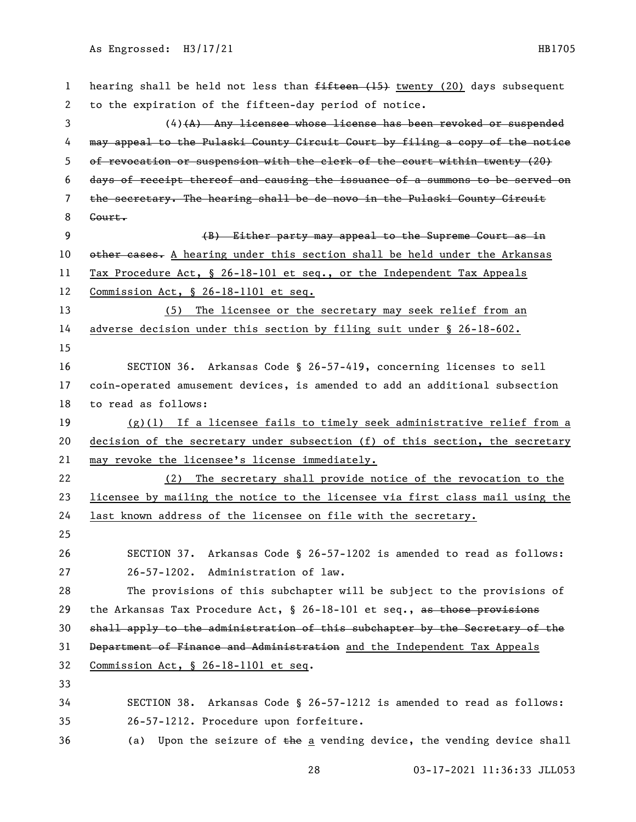| 1            | hearing shall be held not less than <del>fifteen (15)</del> twenty (20) days subsequent |
|--------------|-----------------------------------------------------------------------------------------|
| $\mathbf{2}$ | to the expiration of the fifteen-day period of notice.                                  |
| 3            | $(4)$ $(A)$ Any licensee whose license has been revoked or suspended                    |
| 4            | may appeal to the Pulaski County Circuit Court by filing a copy of the notice           |
| 5            | of revocation or suspension with the clerk of the court within twenty (20)              |
| 6            | days of receipt thereof and causing the issuance of a summons to be served on           |
| 7            | the secretary. The hearing shall be de novo in the Pulaski County Circuit               |
| 8            | Court.                                                                                  |
| 9            | (B) Either party may appeal to the Supreme Court as in                                  |
| 10           | other cases. A hearing under this section shall be held under the Arkansas              |
| 11           | Tax Procedure Act, § 26-18-101 et seq., or the Independent Tax Appeals                  |
| 12           | Commission Act, § 26-18-1101 et seq.                                                    |
| 13           | (5) The licensee or the secretary may seek relief from an                               |
| 14           | adverse decision under this section by filing suit under § 26-18-602.                   |
| 15           |                                                                                         |
| 16           | SECTION 36. Arkansas Code § 26-57-419, concerning licenses to sell                      |
| 17           | coin-operated amusement devices, is amended to add an additional subsection             |
| 18           | to read as follows:                                                                     |
| 19           | $(g)(1)$ If a licensee fails to timely seek administrative relief from a                |
| 20           | decision of the secretary under subsection (f) of this section, the secretary           |
| 21           | may revoke the licensee's license immediately.                                          |
| 22           | The secretary shall provide notice of the revocation to the<br>(2)                      |
| 23           | licensee by mailing the notice to the licensee via first class mail using the           |
| 24           | last known address of the licensee on file with the secretary.                          |
| 25           |                                                                                         |
| 26           | Arkansas Code § 26-57-1202 is amended to read as follows:<br>SECTION 37.                |
| 27           | Administration of law.<br>$26 - 57 - 1202$ .                                            |
| 28           | The provisions of this subchapter will be subject to the provisions of                  |
| 29           | the Arkansas Tax Procedure Act, § 26-18-101 et seq., as those provisions                |
| 30           | shall apply to the administration of this subchapter by the Secretary of the            |
| 31           | Department of Finance and Administration and the Independent Tax Appeals                |
| 32           | Commission Act, § 26-18-1101 et seq.                                                    |
| 33           |                                                                                         |
| 34           | SECTION 38. Arkansas Code § 26-57-1212 is amended to read as follows:                   |
| 35           | 26-57-1212. Procedure upon forfeiture.                                                  |
| 36           | Upon the seizure of the a vending device, the vending device shall<br>(a)               |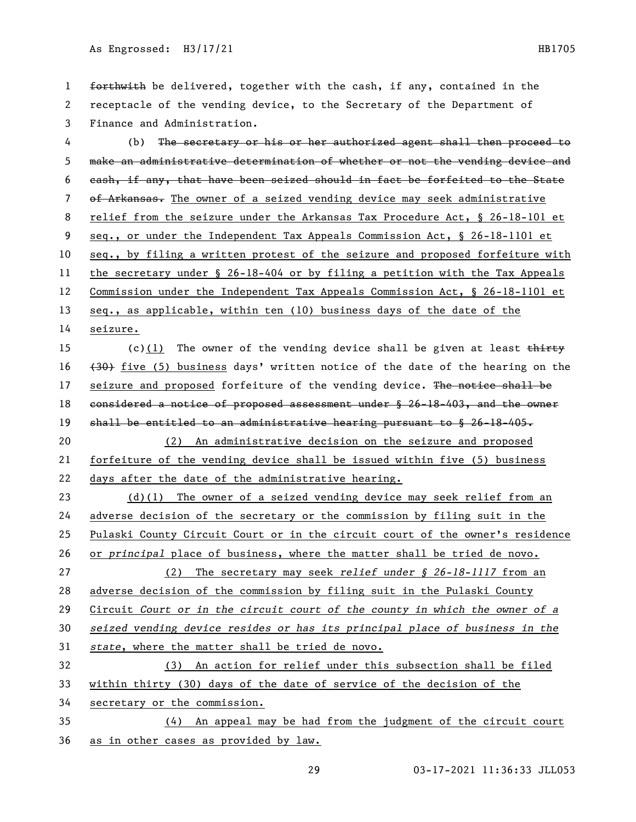1 forthwith be delivered, together with the cash, if any, contained in the receptacle of the vending device, to the Secretary of the Department of Finance and Administration.

 (b) The secretary or his or her authorized agent shall then proceed to make an administrative determination of whether or not the vending device and cash, if any, that have been seized should in fact be forfeited to the State 7 of Arkansas. The owner of a seized vending device may seek administrative relief from the seizure under the Arkansas Tax Procedure Act, § 26-18-101 et seq., or under the Independent Tax Appeals Commission Act, § 26-18-1101 et seq., by filing a written protest of the seizure and proposed forfeiture with the secretary under § 26-18-404 or by filing a petition with the Tax Appeals Commission under the Independent Tax Appeals Commission Act, § 26-18-1101 et 13 seq., as applicable, within ten (10) business days of the date of the seizure.

15 (c)(1) The owner of the vending device shall be given at least  $\frac{1}{x}$ 16  $(30)$  five (5) business days' written notice of the date of the hearing on the 17 seizure and proposed forfeiture of the vending device. The notice shall be 18 considered a notice of proposed assessment under § 26-18-403, and the owner 19 shall be entitled to an administrative hearing pursuant to § 26-18-405. (2) An administrative decision on the seizure and proposed

 forfeiture of the vending device shall be issued within five (5) business days after the date of the administrative hearing.

 (d)(1) The owner of a seized vending device may seek relief from an adverse decision of the secretary or the commission by filing suit in the Pulaski County Circuit Court or in the circuit court of the owner's residence or *principal* place of business, where the matter shall be tried de novo. (2) The secretary may seek *relief under § 26-18-1117* from an adverse decision of the commission by filing suit in the Pulaski County Circuit *Court or in the circuit court of the county in which the owner of a seized vending device resides or has its principal place of business in the state*, where the matter shall be tried de novo.

 (3) An action for relief under this subsection shall be filed within thirty (30) days of the date of service of the decision of the secretary or the commission.

 (4) An appeal may be had from the judgment of the circuit court as in other cases as provided by law.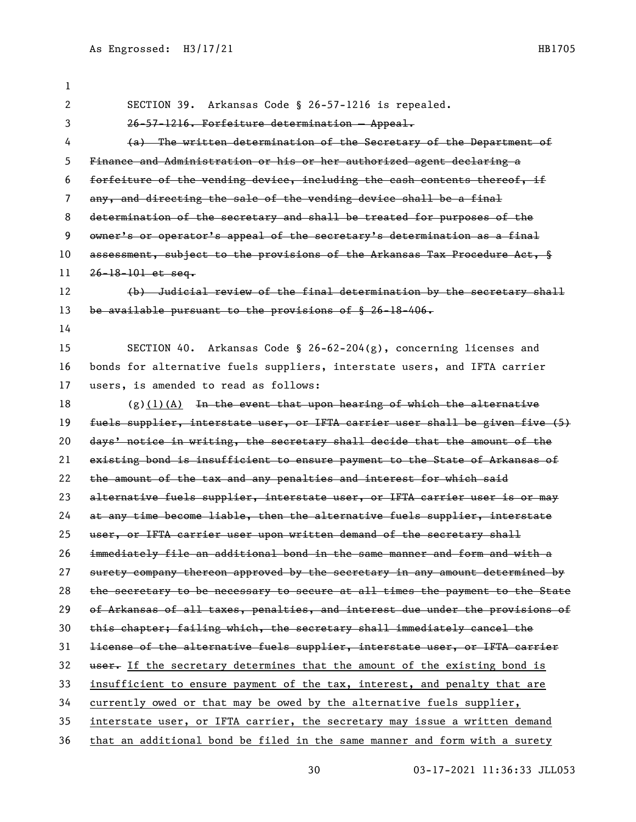| 1  |                                                                               |
|----|-------------------------------------------------------------------------------|
| 2  | SECTION 39. Arkansas Code § 26-57-1216 is repealed.                           |
| 3  | 26-57-1216. Forfeiture determination - Appeal.                                |
| 4  | (a) The written determination of the Secretary of the Department of           |
| 5  | Finance and Administration or his or her authorized agent declaring a         |
| 6  | forfeiture of the vending device, including the eash contents thereof, if     |
| 7  | any, and directing the sale of the vending device shall be a final            |
| 8  | determination of the secretary and shall be treated for purposes of the       |
| 9  | owner's or operator's appeal of the secretary's determination as a final      |
| 10 | assessment, subject to the provisions of the Arkansas Tax Procedure Act, §    |
| 11 | $26 - 18 - 101$ et seq.                                                       |
| 12 | (b) Judicial review of the final determination by the secretary shall         |
| 13 | be available pursuant to the provisions of § 26-18-406.                       |
| 14 |                                                                               |
| 15 | SECTION 40. Arkansas Code § 26-62-204(g), concerning licenses and             |
| 16 | bonds for alternative fuels suppliers, interstate users, and IFTA carrier     |
| 17 | users, is amended to read as follows:                                         |
| 18 | $(g)$ (1)(A) In the event that upon hearing of which the alternative          |
| 19 | fuels supplier, interstate user, or IFTA carrier user shall be given five (5) |
| 20 | days' notice in writing, the secretary shall decide that the amount of the    |
| 21 | existing bond is insufficient to ensure payment to the State of Arkansas of   |
| 22 | the amount of the tax and any penalties and interest for which said           |
| 23 | alternative fuels supplier, interstate user, or IFTA carrier user is or may   |
| 24 | at any time become liable, then the alternative fuels supplier, interstate    |
| 25 | user, or IFTA carrier user upon written demand of the secretary shall         |
| 26 | immediately file an additional bond in the same manner and form and with a    |
| 27 | surety company thereon approved by the secretary in any amount determined by  |
| 28 | the secretary to be necessary to secure at all times the payment to the State |
| 29 | of Arkansas of all taxes, penalties, and interest due under the provisions of |
| 30 | this chapter; failing which, the secretary shall immediately cancel the       |
| 31 | license of the alternative fuels supplier, interstate user, or IFTA carrier   |
| 32 | user. If the secretary determines that the amount of the existing bond is     |
| 33 | insufficient to ensure payment of the tax, interest, and penalty that are     |
| 34 | currently owed or that may be owed by the alternative fuels supplier,         |
| 35 | interstate user, or IFTA carrier, the secretary may issue a written demand    |
| 36 | that an additional bond be filed in the same manner and form with a surety    |